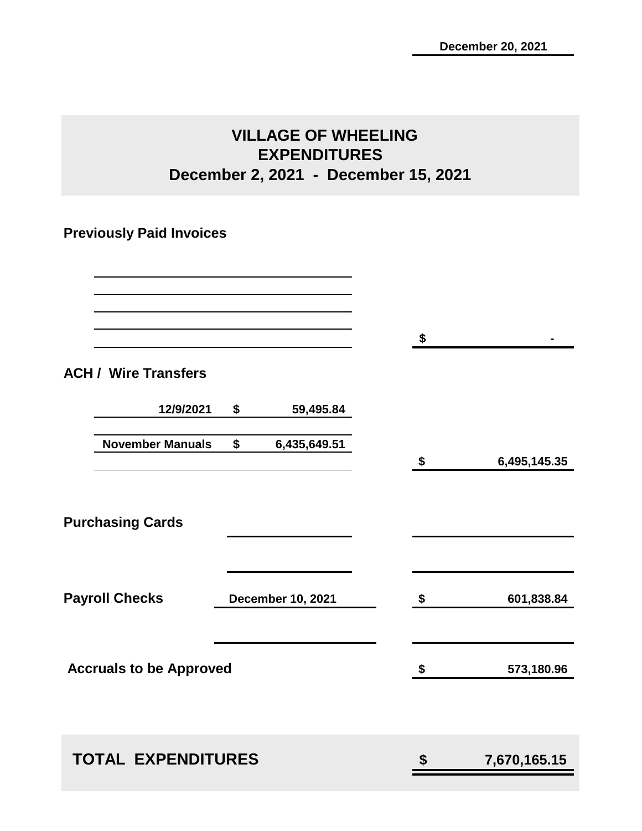# **VILLAGE OF WHEELING EXPENDITURES December 2, 2021 - December 15, 2021**

# **Previously Paid Invoices**

|                                |                          | $\sqrt[6]{3}$              |              |
|--------------------------------|--------------------------|----------------------------|--------------|
| <b>ACH / Wire Transfers</b>    |                          |                            |              |
| 12/9/2021                      | \$<br>59,495.84          |                            |              |
| <b>November Manuals</b>        | \$<br>6,435,649.51       | $\boldsymbol{\mathsf{\$}}$ | 6,495,145.35 |
|                                |                          |                            |              |
| <b>Purchasing Cards</b>        |                          |                            |              |
|                                |                          |                            |              |
| <b>Payroll Checks</b>          | <b>December 10, 2021</b> | \$                         | 601,838.84   |
|                                |                          |                            |              |
| <b>Accruals to be Approved</b> |                          | $\boldsymbol{\mathsf{\$}}$ | 573,180.96   |
|                                |                          |                            |              |
| <b>TOTAL EXPENDITURES</b>      |                          | \$                         | 7,670,165.15 |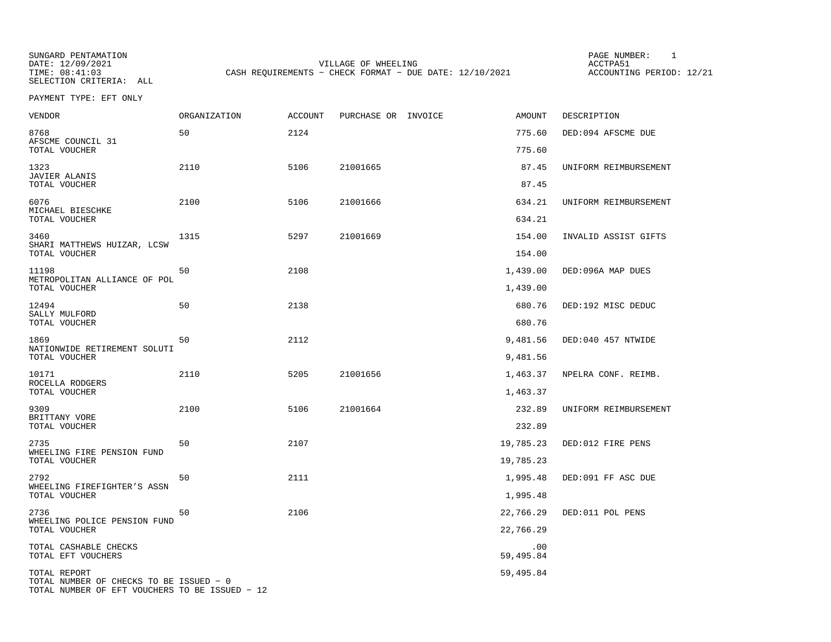SUNGARD PENTAMATION PAGE NUMBER: 1DATE: 12/09/2021 VILLAGE OF WHEELING ACCTPA51CASH REQUIREMENTS - CHECK FORMAT - DUE DATE: 12/10/2021

ACCOUNTING PERIOD: 12/21

PAYMENT TYPE: EFT ONLY

| VENDOR                                                                                    | <b>ORGANIZATION</b> | ACCOUNT | PURCHASE OR INVOICE | AMOUNT           | DESCRIPTION           |
|-------------------------------------------------------------------------------------------|---------------------|---------|---------------------|------------------|-----------------------|
| 8768<br>AFSCME COUNCIL 31                                                                 | 50                  | 2124    |                     | 775.60           | DED:094 AFSCME DUE    |
| TOTAL VOUCHER                                                                             |                     |         |                     | 775.60           |                       |
| 1323<br><b>JAVIER ALANIS</b>                                                              | 2110                | 5106    | 21001665            | 87.45            | UNIFORM REIMBURSEMENT |
| TOTAL VOUCHER                                                                             |                     |         |                     | 87.45            |                       |
| 6076<br>MICHAEL BIESCHKE<br>TOTAL VOUCHER                                                 | 2100                | 5106    | 21001666            | 634.21<br>634.21 | UNIFORM REIMBURSEMENT |
|                                                                                           |                     |         |                     |                  |                       |
| 3460<br>SHARI MATTHEWS HUIZAR, LCSW<br>TOTAL VOUCHER                                      | 1315                | 5297    | 21001669            | 154.00<br>154.00 | INVALID ASSIST GIFTS  |
| 11198<br>METROPOLITAN ALLIANCE OF POL                                                     | 50                  | 2108    |                     | 1,439.00         | DED:096A MAP DUES     |
| TOTAL VOUCHER                                                                             |                     |         |                     | 1,439.00         |                       |
| 12494                                                                                     | 50                  | 2138    |                     | 680.76           | DED:192 MISC DEDUC    |
| SALLY MULFORD<br>TOTAL VOUCHER                                                            |                     |         |                     | 680.76           |                       |
| 1869                                                                                      | 50                  | 2112    |                     | 9,481.56         | DED:040 457 NTWIDE    |
| NATIONWIDE RETIREMENT SOLUTI<br>TOTAL VOUCHER                                             |                     |         |                     | 9,481.56         |                       |
| 10171                                                                                     | 2110                | 5205    | 21001656            | 1,463.37         | NPELRA CONF. REIMB.   |
| ROCELLA RODGERS<br>TOTAL VOUCHER                                                          |                     |         |                     | 1,463.37         |                       |
| 9309                                                                                      | 2100                | 5106    | 21001664            | 232.89           | UNIFORM REIMBURSEMENT |
| BRITTANY VORE<br>TOTAL VOUCHER                                                            |                     |         |                     | 232.89           |                       |
| 2735                                                                                      | 50                  | 2107    |                     | 19,785.23        | DED:012 FIRE PENS     |
| WHEELING FIRE PENSION FUND<br>TOTAL VOUCHER                                               |                     |         |                     | 19,785.23        |                       |
| 2792<br>WHEELING FIREFIGHTER'S ASSN                                                       | 50                  | 2111    |                     | 1,995.48         | DED:091 FF ASC DUE    |
| TOTAL VOUCHER                                                                             |                     |         |                     | 1,995.48         |                       |
| 2736                                                                                      | 50                  | 2106    |                     | 22,766.29        | DED:011 POL PENS      |
| WHEELING POLICE PENSION FUND<br>TOTAL VOUCHER                                             |                     |         |                     | 22,766.29        |                       |
| TOTAL CASHABLE CHECKS<br>TOTAL EFT VOUCHERS                                               |                     |         |                     | .00<br>59,495.84 |                       |
| TOTAL REPORT                                                                              |                     |         |                     | 59,495.84        |                       |
| TOTAL NUMBER OF CHECKS TO BE ISSUED - 0<br>TOTAL NUMBER OF EFT VOUCHERS TO BE ISSUED - 12 |                     |         |                     |                  |                       |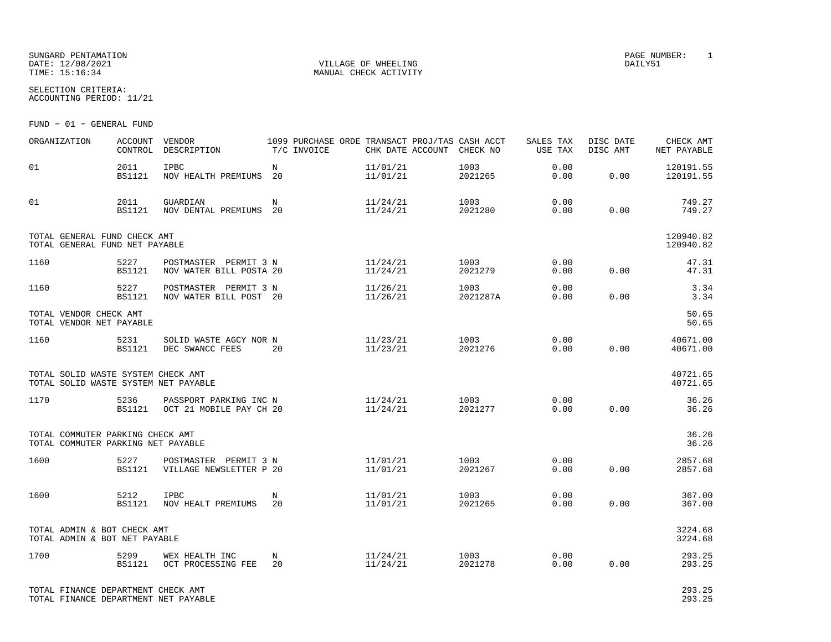### SUNGARD PENTAMATION PAGE NUMBER: 1DATE: 12/08/2021 VILLAGE OF WHEELING DAILY51

SELECTION CRITERIA:

MANUAL CHECK ACTIVITY

ACCOUNTING PERIOD: 11/21

FUND − 01 − GENERAL FUND

| ORGANIZATION                                                               | ACCOUNT<br>CONTROL    | VENDOR<br>DESCRIPTION                             | T/C INVOICE      | 1099 PURCHASE ORDE TRANSACT PROJ/TAS CASH ACCT<br>CHK DATE ACCOUNT CHECK NO |                  | SALES TAX<br>USE TAX | DISC DATE<br>DISC AMT | CHECK AMT<br>NET PAYABLE |
|----------------------------------------------------------------------------|-----------------------|---------------------------------------------------|------------------|-----------------------------------------------------------------------------|------------------|----------------------|-----------------------|--------------------------|
| 01                                                                         | 2011<br><b>BS1121</b> | <b>IPBC</b><br>NOV HEALTH PREMIUMS                | $_{\rm N}$<br>20 | 11/01/21<br>11/01/21                                                        | 1003<br>2021265  | 0.00<br>0.00         | 0.00                  | 120191.55<br>120191.55   |
| 01                                                                         | 2011<br><b>BS1121</b> | GUARDIAN<br>NOV DENTAL PREMIUMS 20                | N                | 11/24/21<br>11/24/21                                                        | 1003<br>2021280  | 0.00<br>0.00         | 0.00                  | 749.27<br>749.27         |
| TOTAL GENERAL FUND CHECK AMT<br>TOTAL GENERAL FUND NET PAYABLE             |                       |                                                   |                  |                                                                             |                  |                      |                       | 120940.82<br>120940.82   |
| 1160                                                                       | 5227<br><b>BS1121</b> | POSTMASTER PERMIT 3 N<br>NOV WATER BILL POSTA 20  |                  | 11/24/21<br>11/24/21                                                        | 1003<br>2021279  | 0.00<br>0.00         | 0.00                  | 47.31<br>47.31           |
| 1160                                                                       | 5227<br><b>BS1121</b> | POSTMASTER PERMIT 3 N<br>NOV WATER BILL POST 20   |                  | 11/26/21<br>11/26/21                                                        | 1003<br>2021287A | 0.00<br>0.00         | 0.00                  | 3.34<br>3.34             |
| TOTAL VENDOR CHECK AMT<br>TOTAL VENDOR NET PAYABLE                         |                       |                                                   |                  |                                                                             |                  |                      |                       | 50.65<br>50.65           |
| 1160                                                                       | 5231<br>BS1121        | SOLID WASTE AGCY NOR N<br>DEC SWANCC FEES         | 20               | 11/23/21<br>11/23/21                                                        | 1003<br>2021276  | 0.00<br>0.00         | 0.00                  | 40671.00<br>40671.00     |
| TOTAL SOLID WASTE SYSTEM CHECK AMT<br>TOTAL SOLID WASTE SYSTEM NET PAYABLE |                       |                                                   |                  |                                                                             |                  |                      |                       | 40721.65<br>40721.65     |
| 1170                                                                       | 5236<br>BS1121        | PASSPORT PARKING INC N<br>OCT 21 MOBILE PAY CH 20 |                  | 11/24/21<br>11/24/21                                                        | 1003<br>2021277  | 0.00<br>0.00         | 0.00                  | 36.26<br>36.26           |
| TOTAL COMMUTER PARKING CHECK AMT<br>TOTAL COMMUTER PARKING NET PAYABLE     |                       |                                                   |                  |                                                                             |                  |                      |                       | 36.26<br>36.26           |
| 1600                                                                       | 5227<br>BS1121        | POSTMASTER PERMIT 3 N<br>VILLAGE NEWSLETTER P 20  |                  | 11/01/21<br>11/01/21                                                        | 1003<br>2021267  | 0.00<br>0.00         | 0.00                  | 2857.68<br>2857.68       |
| 1600                                                                       | 5212<br><b>BS1121</b> | <b>IPBC</b><br>NOV HEALT PREMIUMS                 | N<br>20          | 11/01/21<br>11/01/21                                                        | 1003<br>2021265  | 0.00<br>0.00         | 0.00                  | 367.00<br>367.00         |
| TOTAL ADMIN & BOT CHECK AMT<br>TOTAL ADMIN & BOT NET PAYABLE               |                       |                                                   |                  |                                                                             |                  |                      |                       | 3224.68<br>3224.68       |
| 1700                                                                       | 5299<br><b>BS1121</b> | WEX HEALTH INC<br>OCT PROCESSING FEE              | N<br>20          | 11/24/21<br>11/24/21                                                        | 1003<br>2021278  | 0.00<br>0.00         | 0.00                  | 293.25<br>293.25         |
| TOTAL FINANCE DEPARTMENT CHECK AMT                                         |                       |                                                   |                  |                                                                             |                  |                      |                       | 293.25                   |

TOTAL FINANCE DEPARTMENT NET PAYABLE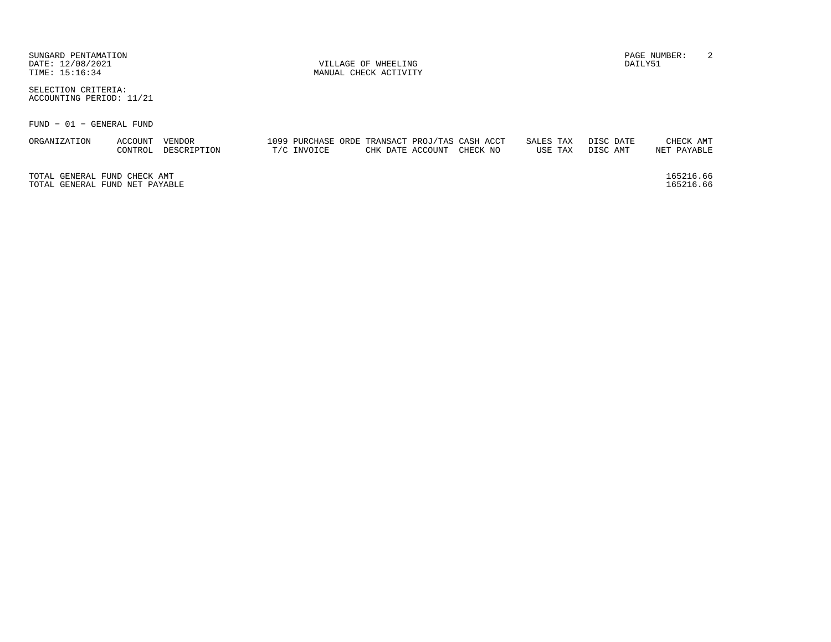| SUNGARD PENTAMATION<br>DATE: 12/08/2021<br>TIME: 15:16:34 |                    |                       |             | VILLAGE OF WHEELING<br>MANUAL CHECK ACTIVITY |                                                                             |                      |                       | DAILY51 | PAGE NUMBER:             | -2 |
|-----------------------------------------------------------|--------------------|-----------------------|-------------|----------------------------------------------|-----------------------------------------------------------------------------|----------------------|-----------------------|---------|--------------------------|----|
| SELECTION CRITERIA:<br>ACCOUNTING PERIOD: 11/21           |                    |                       |             |                                              |                                                                             |                      |                       |         |                          |    |
| FUND - 01 - GENERAL FUND                                  |                    |                       |             |                                              |                                                                             |                      |                       |         |                          |    |
| ORGANIZATION                                              | ACCOUNT<br>CONTROL | VENDOR<br>DESCRIPTION | T/C INVOICE |                                              | 1099 PURCHASE ORDE TRANSACT PROJ/TAS CASH ACCT<br>CHK DATE ACCOUNT CHECK NO | SALES TAX<br>USE TAX | DISC DATE<br>DISC AMT |         | CHECK AMT<br>NET PAYABLE |    |
| TOTAL GENERAL FUND CHECK AMT                              |                    |                       |             |                                              |                                                                             |                      |                       |         | 165216.66                |    |

TOTAL GENERAL FUND NET PAYABLE

165216.66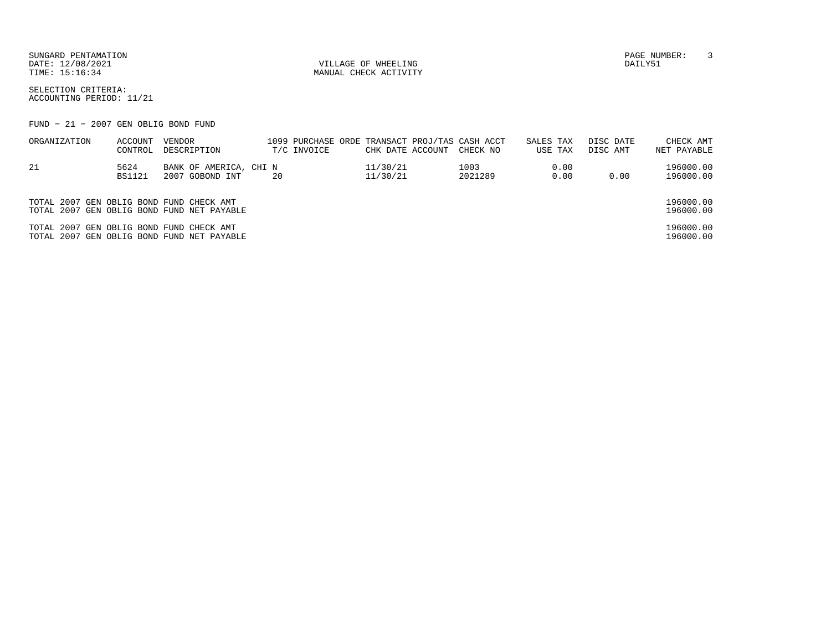SUNGARD PENTAMATION PAGE NUMBER: 3DATE: 12/08/2021 VILLAGE OF WHEELING DAILY51

MANUAL CHECK ACTIVITY

SELECTION CRITERIA:ACCOUNTING PERIOD: 11/21

FUND − 21 − 2007 GEN OBLIG BOND FUND

| ORGANIZATION                             | ACCOUNT       | VENDOR                                     | 1099 PURCHASE ORDE TRANSACT PROJ/TAS CASH ACCT |                  |          | SALES TAX | DISC DATE | CHECK AMT   |
|------------------------------------------|---------------|--------------------------------------------|------------------------------------------------|------------------|----------|-----------|-----------|-------------|
|                                          | CONTROL       | DESCRIPTION                                | T/C INVOICE                                    | CHK DATE ACCOUNT | CHECK NO | USE TAX   | DISC AMT  | NET PAYABLE |
| 21                                       | 5624          | BANK OF AMERICA, CHI N                     |                                                | 11/30/21         | 1003     | 0.00      |           | 196000.00   |
|                                          | <b>BS1121</b> | 2007 GOBOND INT                            | 20                                             | 11/30/21         | 2021289  | 0.00      | 0.00      | 196000.00   |
|                                          |               |                                            |                                                |                  |          |           |           |             |
| TOTAL 2007 GEN OBLIG BOND FUND CHECK AMT |               |                                            |                                                |                  |          |           |           | 196000.00   |
|                                          |               | TOTAL 2007 GEN OBLIG BOND FUND NET PAYABLE |                                                |                  |          |           |           | 196000.00   |
| TOTAL 2007 GEN OBLIG BOND FUND CHECK AMT |               |                                            |                                                |                  |          |           |           | 196000.00   |
|                                          |               | TOTAL 2007 GEN OBLIG BOND FUND NET PAYABLE |                                                |                  |          |           |           | 196000.00   |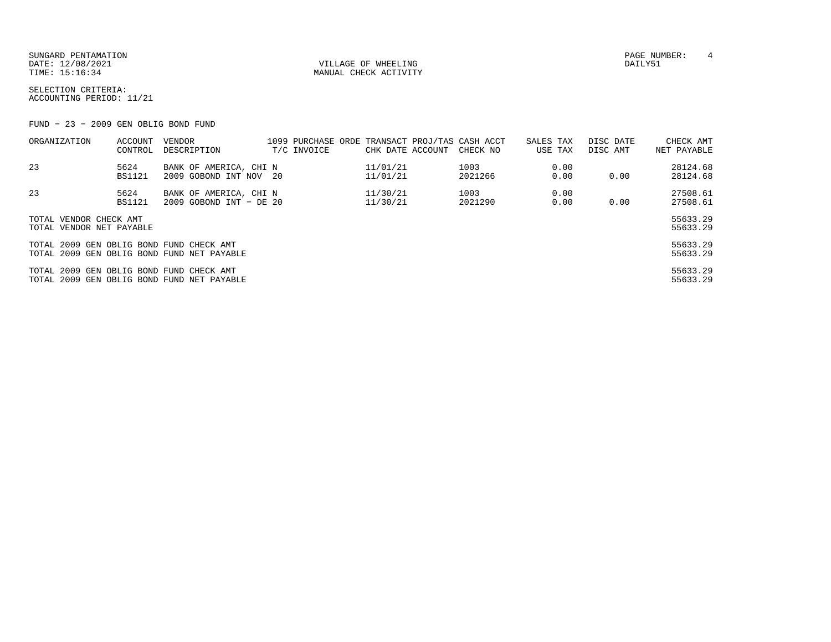SUNGARD PENTAMATION SUNGARD PENTAMATION SUNGARD PAGE NUMBER: 4 SECOND PAGE NUMBER: 4 SECOND PAGE NUMBER: 4 SECOND PAGE NUMBER: 4 SECOND PAGE NUMBER: 4 SECOND PAGE NUMBER: 4 SECOND PAGE NUMBER: 4 SECOND PAGE NUMBER: 4 SECON DATE: 12/08/2021 VILLAGE OF WHEELING DAILY51

MANUAL CHECK ACTIVITY

SELECTION CRITERIA:ACCOUNTING PERIOD: 11/21

FUND − 23 − 2009 GEN OBLIG BOND FUND

| ORGANIZATION                             | ACCOUNT               | VENDOR                                           | 1099 PURCHASE ORDE TRANSACT PROJ/TAS CASH ACCT |                      |                 | SALES TAX    | DISC DATE | CHECK AMT            |
|------------------------------------------|-----------------------|--------------------------------------------------|------------------------------------------------|----------------------|-----------------|--------------|-----------|----------------------|
|                                          | CONTROL               | DESCRIPTION                                      | T/C INVOICE                                    | CHK DATE ACCOUNT     | CHECK NO        | USE TAX      | DISC AMT  | NET PAYABLE          |
| 23                                       | 5624<br><b>BS1121</b> | BANK OF AMERICA, CHI N<br>2009 GOBOND INT NOV 20 |                                                | 11/01/21<br>11/01/21 | 1003<br>2021266 | 0.00<br>0.00 | 0.00      | 28124.68<br>28124.68 |
|                                          |                       |                                                  |                                                |                      |                 |              |           |                      |
| 23                                       | 5624                  | BANK OF AMERICA, CHI N                           |                                                | 11/30/21             | 1003            | 0.00         |           | 27508.61             |
|                                          | <b>BS1121</b>         | 2009 GOBOND INT - DE 20                          |                                                | 11/30/21             | 2021290         | 0.00         | 0.00      | 27508.61             |
| TOTAL VENDOR CHECK AMT                   |                       |                                                  |                                                |                      |                 |              |           | 55633.29             |
| TOTAL VENDOR NET PAYABLE                 |                       |                                                  |                                                |                      |                 |              |           | 55633.29             |
| TOTAL 2009 GEN OBLIG BOND FUND CHECK AMT |                       |                                                  |                                                |                      |                 |              |           | 55633.29             |
|                                          |                       | TOTAL 2009 GEN OBLIG BOND FUND NET PAYABLE       |                                                |                      |                 |              |           | 55633.29             |
| TOTAL 2009 GEN OBLIG BOND FUND CHECK AMT |                       |                                                  |                                                |                      |                 |              |           | 55633.29             |
|                                          |                       | TOTAL 2009 GEN OBLIG BOND FUND NET PAYABLE       |                                                |                      |                 |              |           | 55633.29             |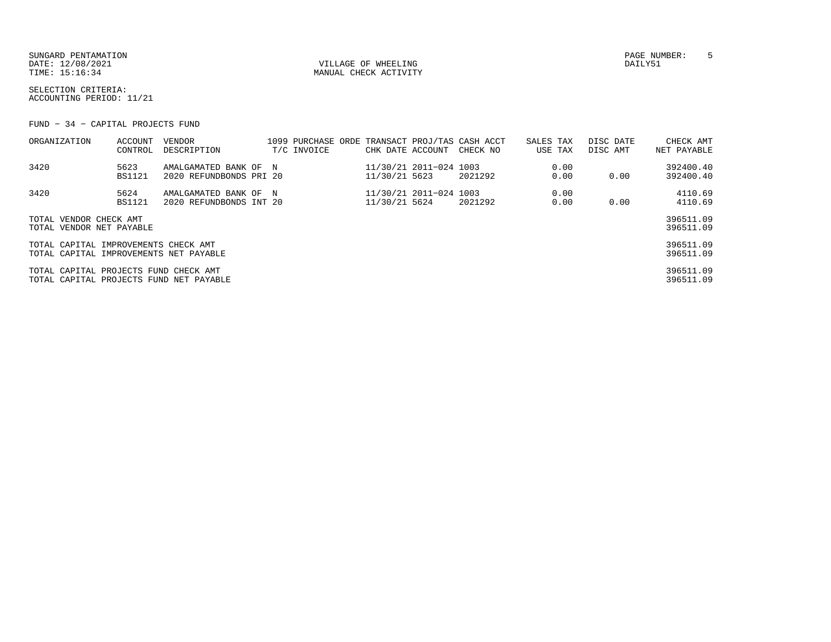SUNGARD PENTAMATION PAGE NUMBER: 5DATE: 12/08/2021 VILLAGE OF WHEELING DAILY51

MANUAL CHECK ACTIVITY

SELECTION CRITERIA:ACCOUNTING PERIOD: 11/21

FUND − 34 − CAPITAL PROJECTS FUND

| ORGANIZATION                                                                     | ACCOUNT<br>CONTROL | VENDOR<br>DESCRIPTION                            |  | T/C INVOICE | CHK DATE ACCOUNT |                        | 1099 PURCHASE ORDE TRANSACT PROJ/TAS CASH ACCT<br>CHECK NO | SALES TAX<br>USE TAX | DISC DATE<br>DISC AMT | CHECK AMT<br>NET PAYABLE |
|----------------------------------------------------------------------------------|--------------------|--------------------------------------------------|--|-------------|------------------|------------------------|------------------------------------------------------------|----------------------|-----------------------|--------------------------|
| 3420                                                                             | 5623<br>BS1121     | AMALGAMATED BANK OF N<br>2020 REFUNDBONDS PRI 20 |  |             | 11/30/21 5623    | 11/30/21 2011-024 1003 | 2021292                                                    | 0.00<br>0.00         | 0.00                  | 392400.40<br>392400.40   |
| 3420                                                                             | 5624<br>BS1121     | AMALGAMATED BANK OF N<br>2020 REFUNDBONDS INT 20 |  |             | 11/30/21 5624    | 11/30/21 2011-024 1003 | 2021292                                                    | 0.00<br>0.00         | 0.00                  | 4110.69<br>4110.69       |
| TOTAL VENDOR CHECK AMT<br>TOTAL VENDOR NET PAYABLE                               |                    |                                                  |  |             |                  |                        |                                                            |                      |                       | 396511.09<br>396511.09   |
| TOTAL CAPITAL IMPROVEMENTS CHECK AMT<br>TOTAL CAPITAL IMPROVEMENTS NET PAYABLE   |                    |                                                  |  |             |                  |                        |                                                            |                      |                       | 396511.09<br>396511.09   |
| TOTAL CAPITAL PROJECTS FUND CHECK AMT<br>TOTAL CAPITAL PROJECTS FUND NET PAYABLE |                    |                                                  |  |             |                  |                        |                                                            |                      |                       | 396511.09<br>396511.09   |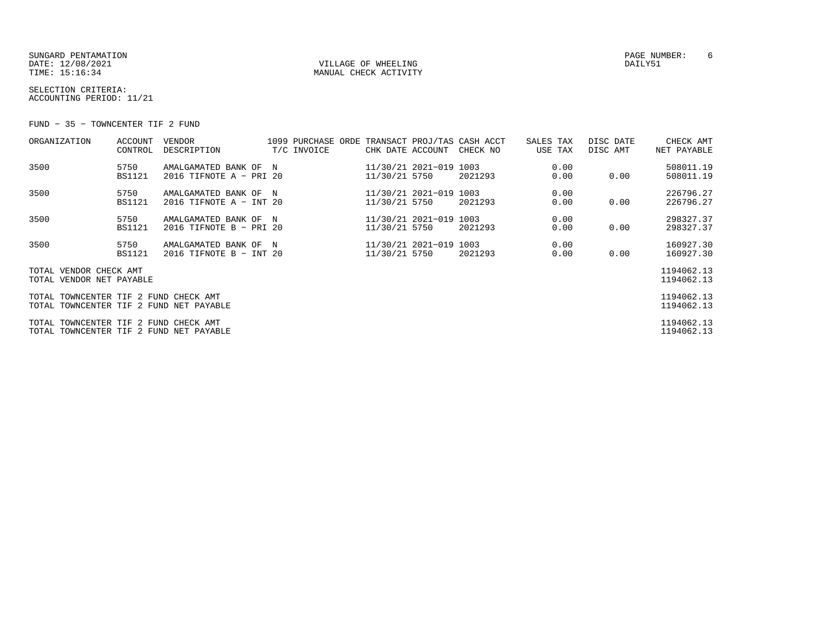SUNGARD PENTAMATION PAGE NUMBER: 6DATE: 12/08/2021 VILLAGE OF WHEELING DAILY51

MANUAL CHECK ACTIVITY

SELECTION CRITERIA:ACCOUNTING PERIOD: 11/21

FUND − 35 − TOWNCENTER TIF 2 FUND

| ORGANIZATION                                                                     | ACCOUNT<br>CONTROL    | <b>VENDOR</b><br>DESCRIPTION                     |  | T/C INVOICE | CHK DATE ACCOUNT                        | 1099 PURCHASE ORDE TRANSACT PROJ/TAS CASH ACCT<br>CHECK NO | SALES TAX<br>USE TAX | DISC DATE<br>DISC AMT | CHECK AMT<br>NET PAYABLE |
|----------------------------------------------------------------------------------|-----------------------|--------------------------------------------------|--|-------------|-----------------------------------------|------------------------------------------------------------|----------------------|-----------------------|--------------------------|
| 3500                                                                             | 5750<br><b>BS1121</b> | AMALGAMATED BANK OF N<br>2016 TIFNOTE A - PRI 20 |  |             | 11/30/21 2021-019 1003<br>11/30/21 5750 | 2021293                                                    | 0.00<br>0.00         | 0.00                  | 508011.19<br>508011.19   |
| 3500                                                                             | 5750<br><b>BS1121</b> | AMALGAMATED BANK OF N<br>2016 TIFNOTE A - INT 20 |  |             | 11/30/21 2021-019 1003<br>11/30/21 5750 | 2021293                                                    | 0.00<br>0.00         | 0.00                  | 226796.27<br>226796.27   |
| 3500                                                                             | 5750<br><b>BS1121</b> | AMALGAMATED BANK OF N<br>2016 TIFNOTE B - PRI 20 |  |             | 11/30/21 2021-019 1003<br>11/30/21 5750 | 2021293                                                    | 0.00<br>0.00         | 0.00                  | 298327.37<br>298327.37   |
| 3500                                                                             | 5750<br><b>BS1121</b> | AMALGAMATED BANK OF N<br>2016 TIFNOTE B - INT 20 |  |             | 11/30/21 2021-019 1003<br>11/30/21 5750 | 2021293                                                    | 0.00<br>0.00         | 0.00                  | 160927.30<br>160927.30   |
| TOTAL VENDOR CHECK AMT<br>TOTAL VENDOR NET PAYABLE                               |                       |                                                  |  |             |                                         |                                                            |                      |                       | 1194062.13<br>1194062.13 |
| TOTAL TOWNCENTER TIF 2 FUND CHECK AMT<br>TOTAL TOWNCENTER TIF 2 FUND NET PAYABLE |                       |                                                  |  |             |                                         |                                                            |                      |                       | 1194062.13<br>1194062.13 |
| TOTAL TOWNCENTER TIF 2 FUND CHECK AMT<br>TOTAL TOWNCENTER TIF 2 FUND NET PAYABLE |                       |                                                  |  |             |                                         |                                                            |                      |                       | 1194062.13<br>1194062.13 |
|                                                                                  |                       |                                                  |  |             |                                         |                                                            |                      |                       |                          |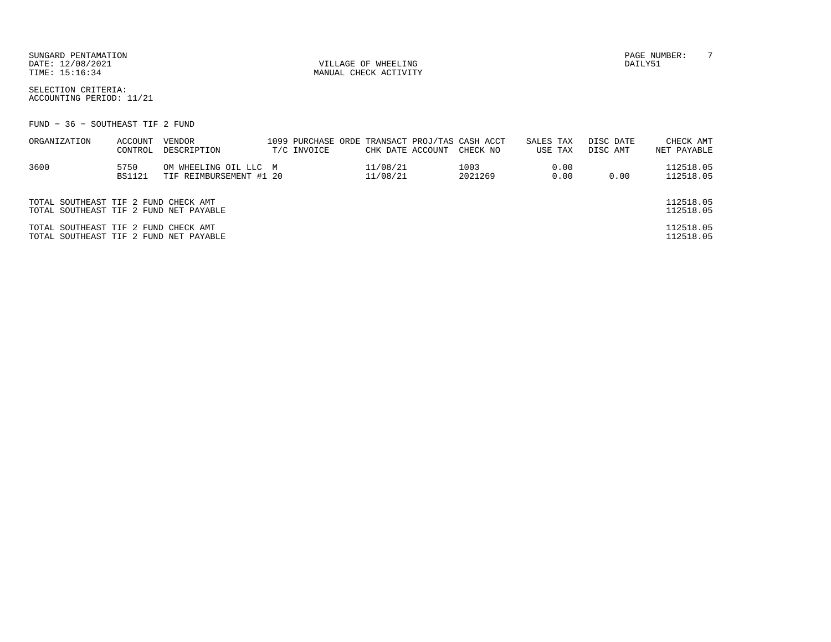SUNGARD PENTAMATION PAGE NUMBER: 7DATE: 12/08/2021 VILLAGE OF WHEELING DAILY51

MANUAL CHECK ACTIVITY

SELECTION CRITERIA:ACCOUNTING PERIOD: 11/21

FUND − 36 − SOUTHEAST TIF 2 FUND

| ORGANIZATION                           | ACCOUNT | VENDOR                  |             |                  | 1099 PURCHASE ORDE TRANSACT PROJ/TAS CASH ACCT | SALES TAX |      | DISC DATE | CHECK AMT   |
|----------------------------------------|---------|-------------------------|-------------|------------------|------------------------------------------------|-----------|------|-----------|-------------|
|                                        | CONTROL | DESCRIPTION             | T/C INVOICE | CHK DATE ACCOUNT | CHECK NO                                       | USE TAX   |      | DISC AMT  | NET PAYABLE |
| 3600                                   | 5750    | OM WHEELING OIL LLC M   |             | 11/08/21         | 1003                                           |           | 0.00 |           | 112518.05   |
|                                        | BS1121  | TIF REIMBURSEMENT #1 20 |             | 11/08/21         | 2021269                                        |           | 0.00 | 0.00      | 112518.05   |
|                                        |         |                         |             |                  |                                                |           |      |           |             |
| TOTAL SOUTHEAST TIF 2 FUND CHECK AMT   |         |                         |             |                  |                                                |           |      |           | 112518.05   |
| TOTAL SOUTHEAST TIF 2 FUND NET PAYABLE |         |                         |             |                  |                                                |           |      |           | 112518.05   |
| TOTAL SOUTHEAST TIF 2 FUND CHECK AMT   |         |                         |             |                  |                                                |           |      |           | 112518.05   |
| TOTAL SOUTHEAST TIF 2 FUND NET PAYABLE |         |                         |             |                  |                                                |           |      |           | 112518.05   |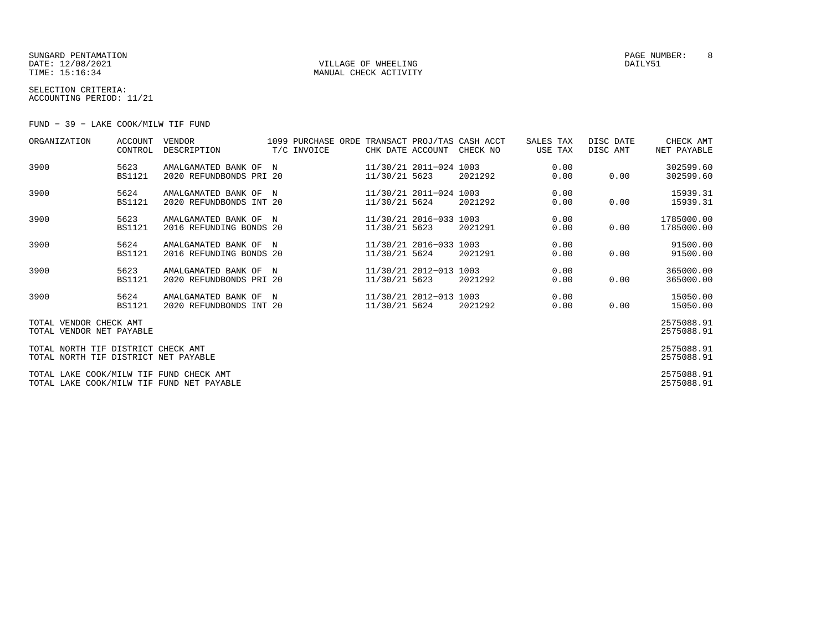SUNGARD PENTAMATION PAGE NUMBER: 8DATE: 12/08/2021 VILLAGE OF WHEELING DAILY51

### MANUAL CHECK ACTIVITY

SELECTION CRITERIA:ACCOUNTING PERIOD: 11/21

FUND − 39 − LAKE COOK/MILW TIF FUND

| ORGANIZATION                                                                         | ACCOUNT<br>CONTROL    | VENDOR<br>DESCRIPTION                            | 1099 PURCHASE ORDE TRANSACT PROJ/TAS CASH ACCT<br>T/C INVOICE |               | CHK DATE ACCOUNT CHECK NO |         | SALES TAX<br>USE TAX | DISC DATE<br>DISC AMT | CHECK AMT<br>NET PAYABLE |
|--------------------------------------------------------------------------------------|-----------------------|--------------------------------------------------|---------------------------------------------------------------|---------------|---------------------------|---------|----------------------|-----------------------|--------------------------|
| 3900                                                                                 | 5623<br><b>BS1121</b> | AMALGAMATED BANK OF N<br>2020 REFUNDBONDS PRI 20 |                                                               | 11/30/21 5623 | 11/30/21 2011-024 1003    | 2021292 | 0.00<br>0.00         | 0.00                  | 302599.60<br>302599.60   |
| 3900                                                                                 | 5624<br><b>BS1121</b> | AMALGAMATED BANK OF N<br>2020 REFUNDBONDS INT 20 |                                                               | 11/30/21 5624 | 11/30/21 2011-024 1003    | 2021292 | 0.00<br>0.00         | 0.00                  | 15939.31<br>15939.31     |
| 3900                                                                                 | 5623<br><b>BS1121</b> | AMALGAMATED BANK OF N<br>2016 REFUNDING BONDS 20 |                                                               | 11/30/21 5623 | 11/30/21 2016-033 1003    | 2021291 | 0.00<br>0.00         | 0.00                  | 1785000.00<br>1785000.00 |
| 3900                                                                                 | 5624<br><b>BS1121</b> | AMALGAMATED BANK OF N<br>2016 REFUNDING BONDS 20 |                                                               | 11/30/21 5624 | 11/30/21 2016-033 1003    | 2021291 | 0.00<br>0.00         | 0.00                  | 91500.00<br>91500.00     |
| 3900                                                                                 | 5623<br><b>BS1121</b> | AMALGAMATED BANK OF N<br>2020 REFUNDBONDS PRI 20 |                                                               | 11/30/21 5623 | 11/30/21 2012-013 1003    | 2021292 | 0.00<br>0.00         | 0.00                  | 365000.00<br>365000.00   |
| 3900                                                                                 | 5624<br>BS1121        | AMALGAMATED BANK OF N<br>2020 REFUNDBONDS INT 20 |                                                               | 11/30/21 5624 | 11/30/21 2012-013 1003    | 2021292 | 0.00<br>0.00         | 0.00                  | 15050.00<br>15050.00     |
| TOTAL VENDOR CHECK AMT<br>TOTAL VENDOR NET PAYABLE                                   |                       |                                                  |                                                               |               |                           |         |                      |                       | 2575088.91<br>2575088.91 |
| TOTAL NORTH TIF DISTRICT CHECK AMT<br>TOTAL NORTH TIF DISTRICT NET PAYABLE           |                       |                                                  |                                                               |               |                           |         |                      |                       | 2575088.91<br>2575088.91 |
| TOTAL LAKE COOK/MILW TIF FUND CHECK AMT<br>TOTAL LAKE COOK/MILW TIF FUND NET PAYABLE |                       |                                                  |                                                               |               |                           |         |                      |                       | 2575088.91<br>2575088.91 |
|                                                                                      |                       |                                                  |                                                               |               |                           |         |                      |                       |                          |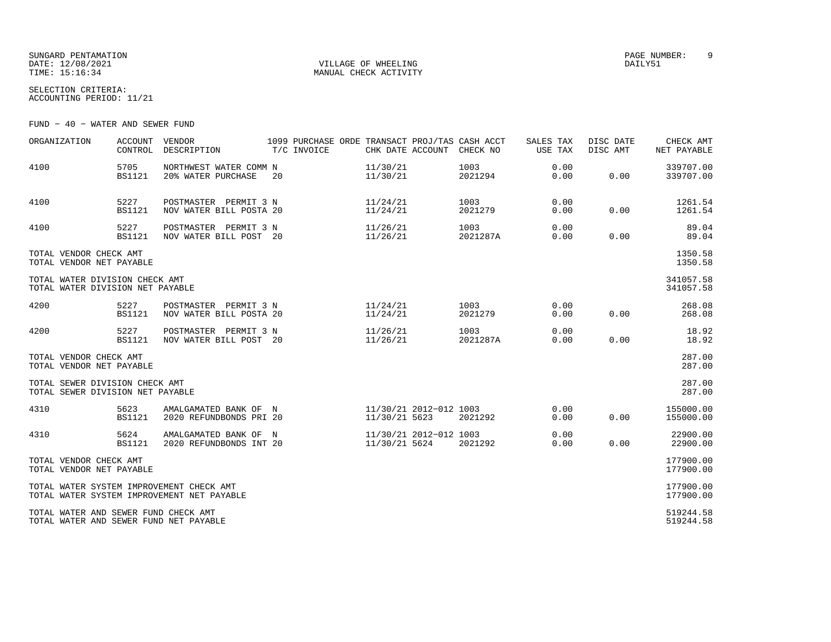SUNGARD PENTAMATION PAGE NUMBER: 9DATE: 12/08/2021 VILLAGE OF WHEELING DAILY51

MANUAL CHECK ACTIVITY

SELECTION CRITERIA:ACCOUNTING PERIOD: 11/21

FUND − 40 − WATER AND SEWER FUND

| ORGANIZATION                                                                   | <b>ACCOUNT</b><br>CONTROL | <b>VENDOR</b><br>DESCRIPTION                     |    | T/C INVOICE | CHK DATE ACCOUNT                        | 1099 PURCHASE ORDE TRANSACT PROJ/TAS CASH ACCT<br>CHECK NO | SALES TAX<br>USE TAX | DISC DATE<br>DISC AMT | CHECK AMT<br>NET PAYABLE |
|--------------------------------------------------------------------------------|---------------------------|--------------------------------------------------|----|-------------|-----------------------------------------|------------------------------------------------------------|----------------------|-----------------------|--------------------------|
| 4100                                                                           | 5705<br><b>BS1121</b>     | NORTHWEST WATER COMM N<br>20% WATER PURCHASE     | 20 |             | 11/30/21<br>11/30/21                    | 1003<br>2021294                                            | 0.00<br>0.00         | 0.00                  | 339707.00<br>339707.00   |
| 4100                                                                           | 5227<br><b>BS1121</b>     | POSTMASTER PERMIT 3 N<br>NOV WATER BILL POSTA 20 |    |             | 11/24/21<br>11/24/21                    | 1003<br>2021279                                            | 0.00<br>0.00         | 0.00                  | 1261.54<br>1261.54       |
| 4100                                                                           | 5227<br><b>BS1121</b>     | POSTMASTER PERMIT 3 N<br>NOV WATER BILL POST 20  |    |             | 11/26/21<br>11/26/21                    | 1003<br>2021287A                                           | 0.00<br>0.00         | 0.00                  | 89.04<br>89.04           |
| TOTAL VENDOR CHECK AMT<br>TOTAL VENDOR NET PAYABLE                             |                           |                                                  |    |             |                                         |                                                            |                      |                       | 1350.58<br>1350.58       |
| TOTAL WATER DIVISION CHECK AMT<br>TOTAL WATER DIVISION NET PAYABLE             |                           |                                                  |    |             |                                         |                                                            |                      |                       | 341057.58<br>341057.58   |
| 4200                                                                           | 5227<br><b>BS1121</b>     | POSTMASTER PERMIT 3 N<br>NOV WATER BILL POSTA 20 |    |             | 11/24/21<br>11/24/21                    | 1003<br>2021279                                            | 0.00<br>0.00         | 0.00                  | 268.08<br>268.08         |
| 4200                                                                           | 5227<br><b>BS1121</b>     | POSTMASTER PERMIT 3 N<br>NOV WATER BILL POST 20  |    |             | 11/26/21<br>11/26/21                    | 1003<br>2021287A                                           | 0.00<br>0.00         | 0.00                  | 18.92<br>18.92           |
| TOTAL VENDOR CHECK AMT<br>TOTAL VENDOR NET PAYABLE                             |                           |                                                  |    |             |                                         |                                                            |                      |                       | 287.00<br>287.00         |
| TOTAL SEWER DIVISION CHECK AMT<br>TOTAL SEWER DIVISION NET PAYABLE             |                           |                                                  |    |             |                                         |                                                            |                      |                       | 287.00<br>287.00         |
| 4310                                                                           | 5623<br><b>BS1121</b>     | AMALGAMATED BANK OF N<br>2020 REFUNDBONDS PRI 20 |    |             | 11/30/21 2012-012 1003<br>11/30/21 5623 | 2021292                                                    | 0.00<br>0.00         | 0.00                  | 155000.00<br>155000.00   |
| 4310                                                                           | 5624<br><b>BS1121</b>     | AMALGAMATED BANK OF N<br>2020 REFUNDBONDS INT 20 |    |             | 11/30/21 2012-012 1003<br>11/30/21 5624 | 2021292                                                    | 0.00<br>0.00         | 0.00                  | 22900.00<br>22900.00     |
| TOTAL VENDOR CHECK AMT<br>TOTAL VENDOR NET PAYABLE                             |                           |                                                  |    |             |                                         |                                                            |                      |                       | 177900.00<br>177900.00   |
| TOTAL WATER SYSTEM IMPROVEMENT CHECK AMT                                       |                           | TOTAL WATER SYSTEM IMPROVEMENT NET PAYABLE       |    |             |                                         |                                                            |                      |                       | 177900.00<br>177900.00   |
| TOTAL WATER AND SEWER FUND CHECK AMT<br>TOTAL WATER AND SEWER FUND NET PAYABLE |                           |                                                  |    |             |                                         |                                                            |                      |                       | 519244.58<br>519244.58   |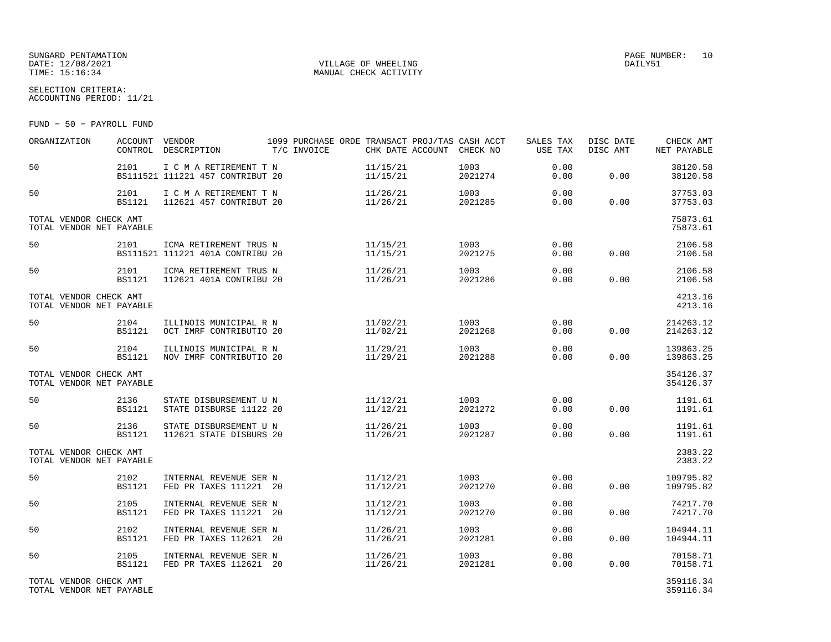### SUNGARD PENTAMATION SUNGARD PENTAMATION SUNGARD PAGE NUMBER: 10 DATE: 12/08/2021 VILLAGE OF WHEELING DAILY51

MANUAL CHECK ACTIVITY

SELECTION CRITERIA:ACCOUNTING PERIOD: 11/21

FUND − 50 − PAYROLL FUND

| ORGANIZATION                                       | <b>ACCOUNT</b>        | VENDOR<br>CONTROL DESCRIPTION                              | T/C INVOICE | 1099 PURCHASE ORDE TRANSACT PROJ/TAS CASH ACCT<br>CHK DATE ACCOUNT CHECK NO |                 | SALES TAX<br>USE TAX | DISC DATE<br>DISC AMT | CHECK AMT<br>NET PAYABLE |
|----------------------------------------------------|-----------------------|------------------------------------------------------------|-------------|-----------------------------------------------------------------------------|-----------------|----------------------|-----------------------|--------------------------|
| 50                                                 | 2101                  | I C M A RETIREMENT T N<br>BS111521 111221 457 CONTRIBUT 20 |             | 11/15/21<br>11/15/21                                                        | 1003<br>2021274 | 0.00<br>0.00         | 0.00                  | 38120.58<br>38120.58     |
| 50                                                 | 2101                  | I C M A RETIREMENT T N<br>BS1121 112621 457 CONTRIBUT 20   |             | 11/26/21<br>11/26/21                                                        | 1003<br>2021285 | 0.00<br>0.00         | 0.00                  | 37753.03<br>37753.03     |
| TOTAL VENDOR CHECK AMT<br>TOTAL VENDOR NET PAYABLE |                       |                                                            |             |                                                                             |                 |                      |                       | 75873.61<br>75873.61     |
| 50                                                 | 2101                  | ICMA RETIREMENT TRUS N<br>BS111521 111221 401A CONTRIBU 20 |             | 11/15/21<br>11/15/21                                                        | 1003<br>2021275 | 0.00<br>0.00         | 0.00                  | 2106.58<br>2106.58       |
| 50                                                 | 2101<br><b>BS1121</b> | ICMA RETIREMENT TRUS N<br>112621 401A CONTRIBU 20          |             | 11/26/21<br>11/26/21                                                        | 1003<br>2021286 | 0.00<br>0.00         | 0.00                  | 2106.58<br>2106.58       |
| TOTAL VENDOR CHECK AMT<br>TOTAL VENDOR NET PAYABLE |                       |                                                            |             |                                                                             |                 |                      |                       | 4213.16<br>4213.16       |
| 50                                                 | 2104<br><b>BS1121</b> | ILLINOIS MUNICIPAL R N<br>OCT IMRF CONTRIBUTIO 20          |             | 11/02/21<br>11/02/21                                                        | 1003<br>2021268 | 0.00<br>0.00         | 0.00                  | 214263.12<br>214263.12   |
| 50                                                 | 2104<br><b>BS1121</b> | ILLINOIS MUNICIPAL R N<br>NOV IMRF CONTRIBUTIO 20          |             | 11/29/21<br>11/29/21                                                        | 1003<br>2021288 | 0.00<br>0.00         | 0.00                  | 139863.25<br>139863.25   |
| TOTAL VENDOR CHECK AMT<br>TOTAL VENDOR NET PAYABLE |                       |                                                            |             |                                                                             |                 |                      |                       | 354126.37<br>354126.37   |
| 50                                                 | 2136<br><b>BS1121</b> | STATE DISBURSEMENT U N<br>STATE DISBURSE 11122 20          |             | 11/12/21<br>11/12/21                                                        | 1003<br>2021272 | 0.00<br>0.00         | 0.00                  | 1191.61<br>1191.61       |
| 50                                                 | 2136<br><b>BS1121</b> | STATE DISBURSEMENT U N<br>112621 STATE DISBURS 20          |             | 11/26/21<br>11/26/21                                                        | 1003<br>2021287 | 0.00<br>0.00         | 0.00                  | 1191.61<br>1191.61       |
| TOTAL VENDOR CHECK AMT<br>TOTAL VENDOR NET PAYABLE |                       |                                                            |             |                                                                             |                 |                      |                       | 2383.22<br>2383.22       |
| 50                                                 | 2102<br><b>BS1121</b> | INTERNAL REVENUE SER N<br>FED PR TAXES 111221 20           |             | 11/12/21<br>11/12/21                                                        | 1003<br>2021270 | 0.00<br>0.00         | 0.00                  | 109795.82<br>109795.82   |
| 50                                                 | 2105<br><b>BS1121</b> | INTERNAL REVENUE SER N<br>FED PR TAXES 111221 20           |             | 11/12/21<br>11/12/21                                                        | 1003<br>2021270 | 0.00<br>0.00         | 0.00                  | 74217.70<br>74217.70     |
| 50                                                 | 2102<br><b>BS1121</b> | INTERNAL REVENUE SER N<br>FED PR TAXES 112621 20           |             | 11/26/21<br>11/26/21                                                        | 1003<br>2021281 | 0.00<br>0.00         | 0.00                  | 104944.11<br>104944.11   |
| 50                                                 | 2105<br><b>BS1121</b> | INTERNAL REVENUE SER N<br>FED PR TAXES 112621 20           |             | 11/26/21<br>11/26/21                                                        | 1003<br>2021281 | 0.00<br>0.00         | 0.00                  | 70158.71<br>70158.71     |
| TOTAL VENDOR CHECK AMT                             |                       |                                                            |             |                                                                             |                 |                      |                       | 359116.34                |

TOTAL VENDOR NET PAYABLE

359116.34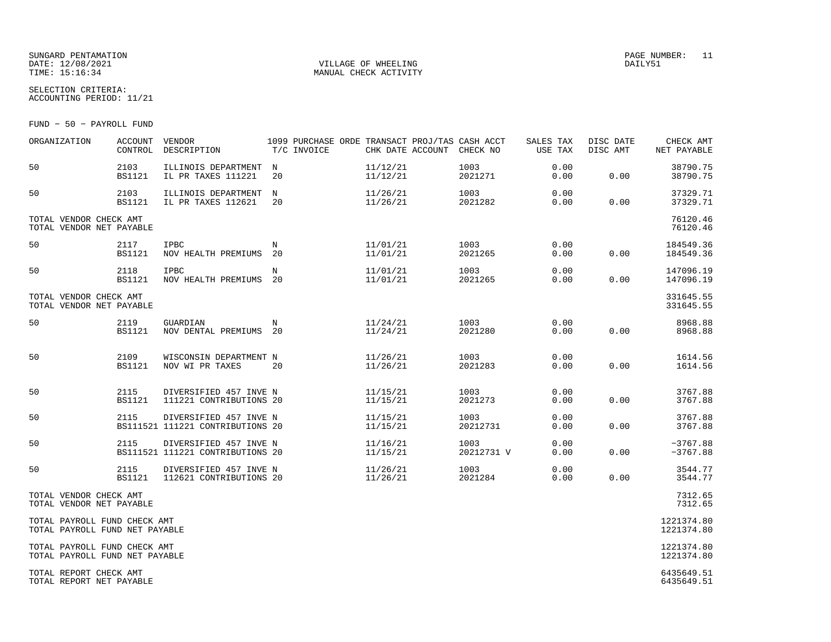#### SUNGARD PENTAMATION SUNGARD PENTAMATION SUNGARD PAGE NUMBER: 11 DATE: 12/08/2021 VILLAGE OF WHEELING DAILY51

MANUAL CHECK ACTIVITY

SELECTION CRITERIA:ACCOUNTING PERIOD: 11/21

FUND − 50 − PAYROLL FUND

| ORGANIZATION                                                   | ACCOUNT<br>CONTROL    | VENDOR<br>DESCRIPTION                                      | T/C INVOICE      | 1099 PURCHASE ORDE TRANSACT PROJ/TAS CASH ACCT<br>CHK DATE ACCOUNT | CHECK NO           | SALES TAX<br>USE TAX | DISC DATE<br>DISC AMT | CHECK AMT<br>NET PAYABLE |
|----------------------------------------------------------------|-----------------------|------------------------------------------------------------|------------------|--------------------------------------------------------------------|--------------------|----------------------|-----------------------|--------------------------|
| 50                                                             | 2103<br><b>BS1121</b> | ILLINOIS DEPARTMENT<br>IL PR TAXES 111221                  | N<br>20          | 11/12/21<br>11/12/21                                               | 1003<br>2021271    | 0.00<br>0.00         | 0.00                  | 38790.75<br>38790.75     |
| 50                                                             | 2103<br><b>BS1121</b> | ILLINOIS DEPARTMENT<br>IL PR TAXES 112621                  | $_{\rm N}$<br>20 | 11/26/21<br>11/26/21                                               | 1003<br>2021282    | 0.00<br>0.00         | 0.00                  | 37329.71<br>37329.71     |
| TOTAL VENDOR CHECK AMT<br>TOTAL VENDOR NET PAYABLE             |                       |                                                            |                  |                                                                    |                    |                      |                       | 76120.46<br>76120.46     |
| 50                                                             | 2117<br><b>BS1121</b> | <b>IPBC</b><br>NOV HEALTH PREMIUMS                         | N<br>20          | 11/01/21<br>11/01/21                                               | 1003<br>2021265    | 0.00<br>0.00         | 0.00                  | 184549.36<br>184549.36   |
| 50                                                             | 2118<br><b>BS1121</b> | IPBC<br>NOV HEALTH PREMIUMS 20                             | N                | 11/01/21<br>11/01/21                                               | 1003<br>2021265    | 0.00<br>0.00         | 0.00                  | 147096.19<br>147096.19   |
| TOTAL VENDOR CHECK AMT<br>TOTAL VENDOR NET PAYABLE             |                       |                                                            |                  |                                                                    |                    |                      |                       | 331645.55<br>331645.55   |
| 50                                                             | 2119<br><b>BS1121</b> | GUARDIAN<br>NOV DENTAL PREMIUMS 20                         | N                | 11/24/21<br>11/24/21                                               | 1003<br>2021280    | 0.00<br>0.00         | 0.00                  | 8968.88<br>8968.88       |
| 50                                                             | 2109<br><b>BS1121</b> | WISCONSIN DEPARTMENT N<br>NOV WI PR TAXES                  | 20               | 11/26/21<br>11/26/21                                               | 1003<br>2021283    | 0.00<br>0.00         | 0.00                  | 1614.56<br>1614.56       |
| 50                                                             | 2115<br><b>BS1121</b> | DIVERSIFIED 457 INVE N<br>111221 CONTRIBUTIONS 20          |                  | 11/15/21<br>11/15/21                                               | 1003<br>2021273    | 0.00<br>0.00         | 0.00                  | 3767.88<br>3767.88       |
| 50                                                             | 2115                  | DIVERSIFIED 457 INVE N<br>BS111521 111221 CONTRIBUTIONS 20 |                  | 11/15/21<br>11/15/21                                               | 1003<br>20212731   | 0.00<br>0.00         | 0.00                  | 3767.88<br>3767.88       |
| 50                                                             | 2115                  | DIVERSIFIED 457 INVE N<br>BS111521 111221 CONTRIBUTIONS 20 |                  | 11/16/21<br>11/15/21                                               | 1003<br>20212731 V | 0.00<br>0.00         | 0.00                  | $-3767.88$<br>$-3767.88$ |
| 50                                                             | 2115<br><b>BS1121</b> | DIVERSIFIED 457 INVE N<br>112621 CONTRIBUTIONS 20          |                  | 11/26/21<br>11/26/21                                               | 1003<br>2021284    | 0.00<br>0.00         | 0.00                  | 3544.77<br>3544.77       |
| TOTAL VENDOR CHECK AMT<br>TOTAL VENDOR NET PAYABLE             |                       |                                                            |                  |                                                                    |                    |                      |                       | 7312.65<br>7312.65       |
| TOTAL PAYROLL FUND CHECK AMT<br>TOTAL PAYROLL FUND NET PAYABLE |                       |                                                            |                  |                                                                    |                    |                      |                       | 1221374.80<br>1221374.80 |
| TOTAL PAYROLL FUND CHECK AMT<br>TOTAL PAYROLL FUND NET PAYABLE |                       |                                                            |                  |                                                                    |                    |                      |                       | 1221374.80<br>1221374.80 |
| TOTAL REPORT CHECK AMT<br>TOTAL REPORT NET PAYABLE             |                       |                                                            |                  |                                                                    |                    |                      |                       | 6435649.51<br>6435649.51 |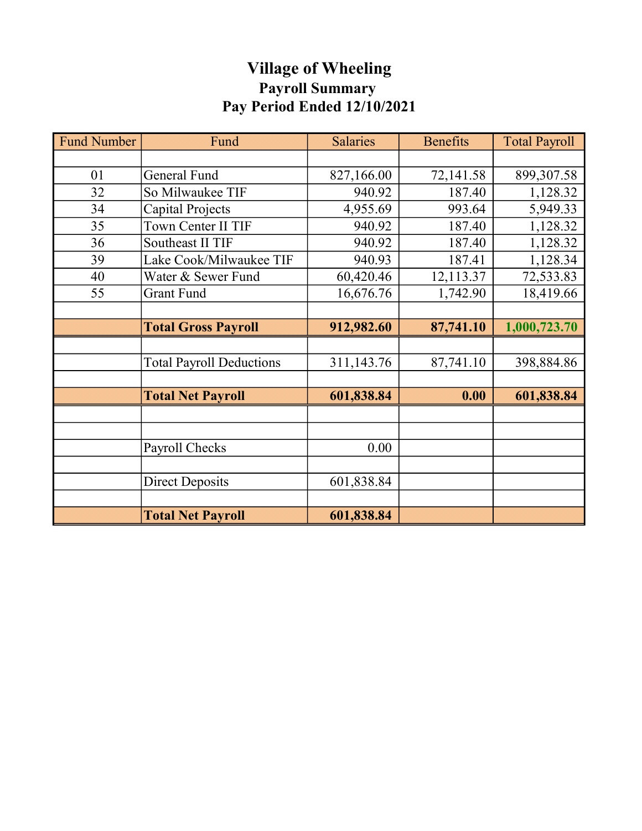# Village of Wheeling Payroll Summary Pay Period Ended 12/10/2021

| <b>Fund Number</b> | Fund                            | <b>Salaries</b> | <b>Benefits</b> | <b>Total Payroll</b> |
|--------------------|---------------------------------|-----------------|-----------------|----------------------|
|                    |                                 |                 |                 |                      |
| 01                 | <b>General Fund</b>             | 827,166.00      | 72,141.58       | 899,307.58           |
| 32                 | So Milwaukee TIF                | 940.92          | 187.40          | 1,128.32             |
| 34                 | Capital Projects                | 4,955.69        | 993.64          | 5,949.33             |
| 35                 | Town Center II TIF              | 940.92          | 187.40          | 1,128.32             |
| 36                 | Southeast II TIF                | 940.92          | 187.40          | 1,128.32             |
| 39                 | Lake Cook/Milwaukee TIF         | 940.93          | 187.41          | 1,128.34             |
| 40                 | Water & Sewer Fund              | 60,420.46       | 12,113.37       | 72,533.83            |
| 55                 | Grant Fund                      | 16,676.76       | 1,742.90        | 18,419.66            |
|                    |                                 |                 |                 |                      |
|                    | <b>Total Gross Payroll</b>      | 912,982.60      | 87,741.10       | 1,000,723.70         |
|                    |                                 |                 |                 |                      |
|                    | <b>Total Payroll Deductions</b> | 311,143.76      | 87,741.10       | 398,884.86           |
|                    |                                 |                 |                 |                      |
|                    | <b>Total Net Payroll</b>        | 601,838.84      | 0.00            | 601,838.84           |
|                    |                                 |                 |                 |                      |
|                    |                                 |                 |                 |                      |
|                    | Payroll Checks                  | 0.00            |                 |                      |
|                    |                                 |                 |                 |                      |
|                    | <b>Direct Deposits</b>          | 601,838.84      |                 |                      |
|                    |                                 |                 |                 |                      |
|                    | <b>Total Net Payroll</b>        | 601,838.84      |                 |                      |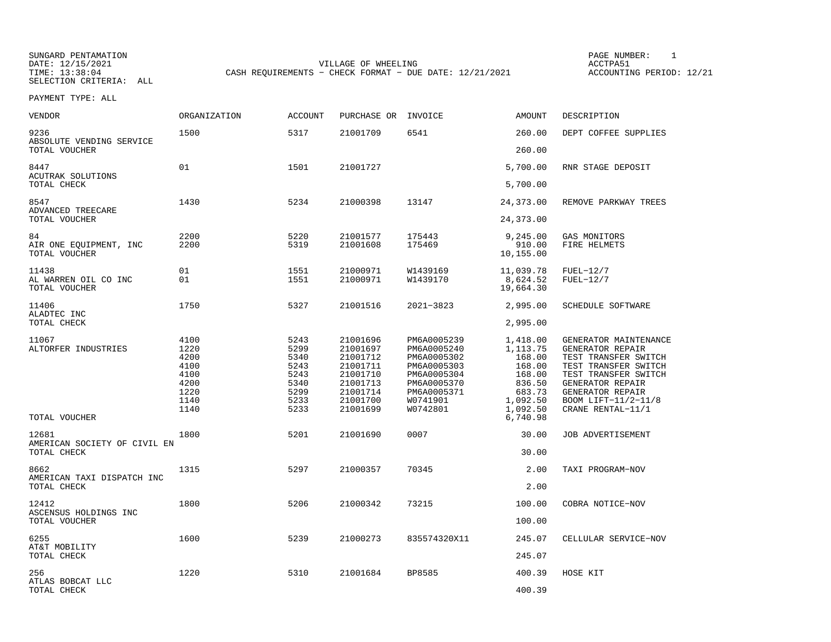SUNGARD PENTAMATION SUNGARD PENTAMATION SUNG PAGE NUMBER: 1 SUNGARD PENTAMATION SUNG PAGE NUMBER: 1 SUNG PAGE NUMBER: 1 SUNG PAGE NUMBER: 1 SUNG PAGE NUMBER: 1 SUNG PAGE NUMBER: 1 SUNG PAGE NUMBER: 1 SUNG PAGE NUMBER: 1 SU DATE: 12/15/2021 VILLAGE OF WHEELING ACCTPA51CASH REQUIREMENTS - CHECK FORMAT - DUE DATE: 12/21/2021

ACCOUNTING PERIOD: 12/21

| VENDOR                                               | ORGANIZATION                                                         | <b>ACCOUNT</b>                                                       | PURCHASE OR                                                                                              | INVOICE                                                                                                                       | <b>AMOUNT</b>                                                                                   | DESCRIPTION                                                                                                                                                                                           |
|------------------------------------------------------|----------------------------------------------------------------------|----------------------------------------------------------------------|----------------------------------------------------------------------------------------------------------|-------------------------------------------------------------------------------------------------------------------------------|-------------------------------------------------------------------------------------------------|-------------------------------------------------------------------------------------------------------------------------------------------------------------------------------------------------------|
| 9236<br>ABSOLUTE VENDING SERVICE                     | 1500                                                                 | 5317                                                                 | 21001709                                                                                                 | 6541                                                                                                                          | 260.00                                                                                          | DEPT COFFEE SUPPLIES                                                                                                                                                                                  |
| TOTAL VOUCHER                                        |                                                                      |                                                                      |                                                                                                          |                                                                                                                               | 260.00                                                                                          |                                                                                                                                                                                                       |
| 8447<br><b>ACUTRAK SOLUTIONS</b>                     | 01                                                                   | 1501                                                                 | 21001727                                                                                                 |                                                                                                                               | 5,700.00                                                                                        | RNR STAGE DEPOSIT                                                                                                                                                                                     |
| TOTAL CHECK                                          |                                                                      |                                                                      |                                                                                                          |                                                                                                                               | 5,700.00                                                                                        |                                                                                                                                                                                                       |
| 8547<br>ADVANCED TREECARE<br>TOTAL VOUCHER           | 1430                                                                 | 5234                                                                 | 21000398                                                                                                 | 13147                                                                                                                         | 24,373.00<br>24,373.00                                                                          | REMOVE PARKWAY TREES                                                                                                                                                                                  |
|                                                      |                                                                      |                                                                      |                                                                                                          |                                                                                                                               |                                                                                                 |                                                                                                                                                                                                       |
| 84<br>AIR ONE EQUIPMENT, INC<br>TOTAL VOUCHER        | 2200<br>2200                                                         | 5220<br>5319                                                         | 21001577<br>21001608                                                                                     | 175443<br>175469                                                                                                              | 9,245.00<br>910.00<br>10,155.00                                                                 | GAS MONITORS<br>FIRE HELMETS                                                                                                                                                                          |
| 11438<br>AL WARREN OIL CO INC<br>TOTAL VOUCHER       | 01<br>01                                                             | 1551<br>1551                                                         | 21000971<br>21000971                                                                                     | W1439169<br>W1439170                                                                                                          | 11,039.78<br>8,624.52<br>19,664.30                                                              | $FUEL-12/7$<br>$FUEL-12/7$                                                                                                                                                                            |
| 11406                                                | 1750                                                                 | 5327                                                                 | 21001516                                                                                                 | 2021-3823                                                                                                                     | 2,995.00                                                                                        | SCHEDULE SOFTWARE                                                                                                                                                                                     |
| ALADTEC INC<br>TOTAL CHECK                           |                                                                      |                                                                      |                                                                                                          |                                                                                                                               | 2,995.00                                                                                        |                                                                                                                                                                                                       |
| 11067<br>ALTORFER INDUSTRIES                         | 4100<br>1220<br>4200<br>4100<br>4100<br>4200<br>1220<br>1140<br>1140 | 5243<br>5299<br>5340<br>5243<br>5243<br>5340<br>5299<br>5233<br>5233 | 21001696<br>21001697<br>21001712<br>21001711<br>21001710<br>21001713<br>21001714<br>21001700<br>21001699 | PM6A0005239<br>PM6A0005240<br>PM6A0005302<br>PM6A0005303<br>PM6A0005304<br>PM6A0005370<br>PM6A0005371<br>W0741901<br>W0742801 | 1,418.00<br>1, 113.75<br>168.00<br>168.00<br>168.00<br>836.50<br>683.73<br>1,092.50<br>1,092.50 | GENERATOR MAINTENANCE<br>GENERATOR REPAIR<br>TEST TRANSFER SWITCH<br>TEST TRANSFER SWITCH<br>TEST TRANSFER SWITCH<br>GENERATOR REPAIR<br>GENERATOR REPAIR<br>BOOM LIFT-11/2-11/8<br>CRANE RENTAL-11/1 |
| TOTAL VOUCHER                                        |                                                                      |                                                                      |                                                                                                          |                                                                                                                               | 6,740.98                                                                                        |                                                                                                                                                                                                       |
| 12681<br>AMERICAN SOCIETY OF CIVIL EN<br>TOTAL CHECK | 1800                                                                 | 5201                                                                 | 21001690                                                                                                 | 0007                                                                                                                          | 30.00<br>30.00                                                                                  | JOB ADVERTISEMENT                                                                                                                                                                                     |
|                                                      |                                                                      |                                                                      |                                                                                                          |                                                                                                                               |                                                                                                 |                                                                                                                                                                                                       |
| 8662<br>AMERICAN TAXI DISPATCH INC<br>TOTAL CHECK    | 1315                                                                 | 5297                                                                 | 21000357                                                                                                 | 70345                                                                                                                         | 2.00<br>2.00                                                                                    | TAXI PROGRAM-NOV                                                                                                                                                                                      |
|                                                      |                                                                      |                                                                      |                                                                                                          |                                                                                                                               |                                                                                                 |                                                                                                                                                                                                       |
| 12412<br>ASCENSUS HOLDINGS INC<br>TOTAL VOUCHER      | 1800                                                                 | 5206                                                                 | 21000342                                                                                                 | 73215                                                                                                                         | 100.00<br>100.00                                                                                | COBRA NOTICE-NOV                                                                                                                                                                                      |
| 6255                                                 | 1600                                                                 | 5239                                                                 | 21000273                                                                                                 | 835574320X11                                                                                                                  | 245.07                                                                                          | CELLULAR SERVICE-NOV                                                                                                                                                                                  |
| AT&T MOBILITY<br>TOTAL CHECK                         |                                                                      |                                                                      |                                                                                                          |                                                                                                                               | 245.07                                                                                          |                                                                                                                                                                                                       |
| 256                                                  | 1220                                                                 | 5310                                                                 | 21001684                                                                                                 | BP8585                                                                                                                        | 400.39                                                                                          | HOSE KIT                                                                                                                                                                                              |
| ATLAS BOBCAT LLC<br>TOTAL CHECK                      |                                                                      |                                                                      |                                                                                                          |                                                                                                                               | 400.39                                                                                          |                                                                                                                                                                                                       |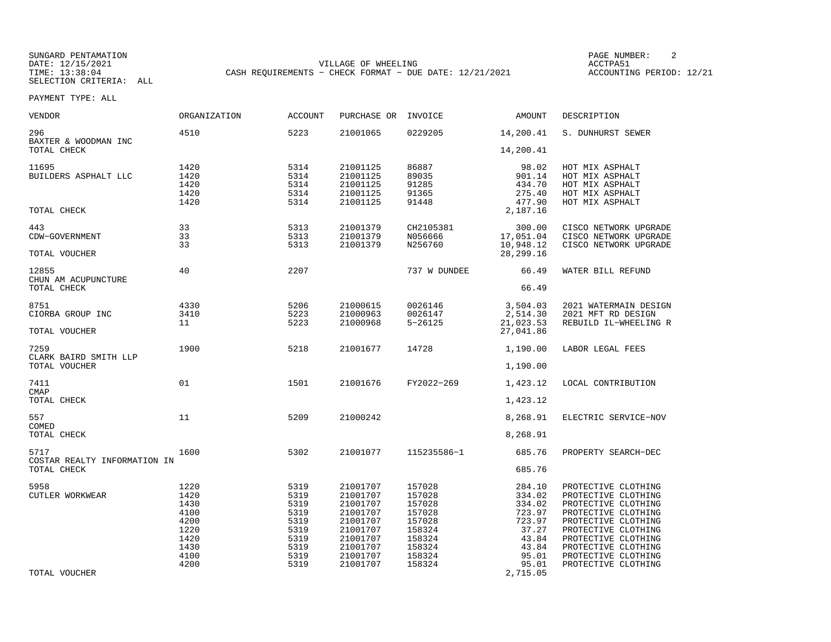SUNGARD PENTAMATION SUNGARD PENTAMATION SUNG PAGE NUMBER: 2 DATE: 12/15/2021 VILLAGE OF WHEELING ACCTPA51CASH REQUIREMENTS - CHECK FORMAT - DUE DATE: 12/21/2021

ACCOUNTING PERIOD: 12/21

| <b>VENDOR</b>                                  | <b>ORGANIZATION</b>                                                          | <b>ACCOUNT</b>                                                               | PURCHASE OR                                                                                                          | INVOICE                                                                                          | AMOUNT                                                                                      | DESCRIPTION                                                                                                                                                                                                                        |
|------------------------------------------------|------------------------------------------------------------------------------|------------------------------------------------------------------------------|----------------------------------------------------------------------------------------------------------------------|--------------------------------------------------------------------------------------------------|---------------------------------------------------------------------------------------------|------------------------------------------------------------------------------------------------------------------------------------------------------------------------------------------------------------------------------------|
| 296<br>BAXTER & WOODMAN INC                    | 4510                                                                         | 5223                                                                         | 21001065                                                                                                             | 0229205                                                                                          | 14,200.41                                                                                   | S. DUNHURST SEWER                                                                                                                                                                                                                  |
| TOTAL CHECK                                    |                                                                              |                                                                              |                                                                                                                      |                                                                                                  | 14,200.41                                                                                   |                                                                                                                                                                                                                                    |
| 11695<br>BUILDERS ASPHALT LLC                  | 1420<br>1420<br>1420<br>1420<br>1420                                         | 5314<br>5314<br>5314<br>5314<br>5314                                         | 21001125<br>21001125<br>21001125<br>21001125<br>21001125                                                             | 86887<br>89035<br>91285<br>91365<br>91448                                                        | 98.02<br>901.14<br>434.70<br>275.40<br>477.90                                               | HOT MIX ASPHALT<br>HOT MIX ASPHALT<br>HOT MIX ASPHALT<br>HOT MIX ASPHALT<br>HOT MIX ASPHALT                                                                                                                                        |
| TOTAL CHECK                                    |                                                                              |                                                                              |                                                                                                                      |                                                                                                  | 2,187.16                                                                                    |                                                                                                                                                                                                                                    |
| 443<br>CDW-GOVERNMENT<br>TOTAL VOUCHER         | 33<br>33<br>33                                                               | 5313<br>5313<br>5313                                                         | 21001379<br>21001379<br>21001379                                                                                     | CH2105381<br>N056666<br>N256760                                                                  | 300.00<br>17,051.04<br>10,948.12<br>28, 299. 16                                             | CISCO NETWORK UPGRADE<br>CISCO NETWORK UPGRADE<br>CISCO NETWORK UPGRADE                                                                                                                                                            |
| 12855                                          | 40                                                                           | 2207                                                                         |                                                                                                                      | 737 W DUNDEE                                                                                     | 66.49                                                                                       | WATER BILL REFUND                                                                                                                                                                                                                  |
| CHUN AM ACUPUNCTURE<br>TOTAL CHECK             |                                                                              |                                                                              |                                                                                                                      |                                                                                                  | 66.49                                                                                       |                                                                                                                                                                                                                                    |
| 8751<br>CIORBA GROUP INC                       | 4330<br>3410<br>11                                                           | 5206<br>5223<br>5223                                                         | 21000615<br>21000963<br>21000968                                                                                     | 0026146<br>0026147<br>$5 - 26125$                                                                | 3,504.03<br>2,514.30<br>21,023.53                                                           | 2021 WATERMAIN DESIGN<br>2021 MFT RD DESIGN<br>REBUILD IL-WHEELING R                                                                                                                                                               |
| TOTAL VOUCHER                                  |                                                                              |                                                                              |                                                                                                                      |                                                                                                  | 27,041.86                                                                                   |                                                                                                                                                                                                                                    |
| 7259<br>CLARK BAIRD SMITH LLP<br>TOTAL VOUCHER | 1900                                                                         | 5218                                                                         | 21001677                                                                                                             | 14728                                                                                            | 1,190.00<br>1,190.00                                                                        | LABOR LEGAL FEES                                                                                                                                                                                                                   |
|                                                |                                                                              |                                                                              |                                                                                                                      |                                                                                                  |                                                                                             |                                                                                                                                                                                                                                    |
| 7411<br><b>CMAP</b><br>TOTAL CHECK             | 01                                                                           | 1501                                                                         | 21001676                                                                                                             | FY2022-269                                                                                       | 1,423.12<br>1,423.12                                                                        | LOCAL CONTRIBUTION                                                                                                                                                                                                                 |
|                                                |                                                                              |                                                                              |                                                                                                                      |                                                                                                  |                                                                                             |                                                                                                                                                                                                                                    |
| 557<br>COMED                                   | 11                                                                           | 5209                                                                         | 21000242                                                                                                             |                                                                                                  | 8,268.91                                                                                    | ELECTRIC SERVICE-NOV                                                                                                                                                                                                               |
| TOTAL CHECK                                    |                                                                              |                                                                              |                                                                                                                      |                                                                                                  | 8,268.91                                                                                    |                                                                                                                                                                                                                                    |
| 5717                                           | 1600                                                                         | 5302                                                                         | 21001077                                                                                                             | 115235586-1                                                                                      | 685.76                                                                                      | PROPERTY SEARCH-DEC                                                                                                                                                                                                                |
| COSTAR REALTY INFORMATION IN<br>TOTAL CHECK    |                                                                              |                                                                              |                                                                                                                      |                                                                                                  | 685.76                                                                                      |                                                                                                                                                                                                                                    |
| 5958<br><b>CUTLER WORKWEAR</b>                 | 1220<br>1420<br>1430<br>4100<br>4200<br>1220<br>1420<br>1430<br>4100<br>4200 | 5319<br>5319<br>5319<br>5319<br>5319<br>5319<br>5319<br>5319<br>5319<br>5319 | 21001707<br>21001707<br>21001707<br>21001707<br>21001707<br>21001707<br>21001707<br>21001707<br>21001707<br>21001707 | 157028<br>157028<br>157028<br>157028<br>157028<br>158324<br>158324<br>158324<br>158324<br>158324 | 284.10<br>334.02<br>334.02<br>723.97<br>723.97<br>37.27<br>43.84<br>43.84<br>95.01<br>95.01 | PROTECTIVE CLOTHING<br>PROTECTIVE CLOTHING<br>PROTECTIVE CLOTHING<br>PROTECTIVE CLOTHING<br>PROTECTIVE CLOTHING<br>PROTECTIVE CLOTHING<br>PROTECTIVE CLOTHING<br>PROTECTIVE CLOTHING<br>PROTECTIVE CLOTHING<br>PROTECTIVE CLOTHING |
| TOTAL VOUCHER                                  |                                                                              |                                                                              |                                                                                                                      |                                                                                                  | 2,715.05                                                                                    |                                                                                                                                                                                                                                    |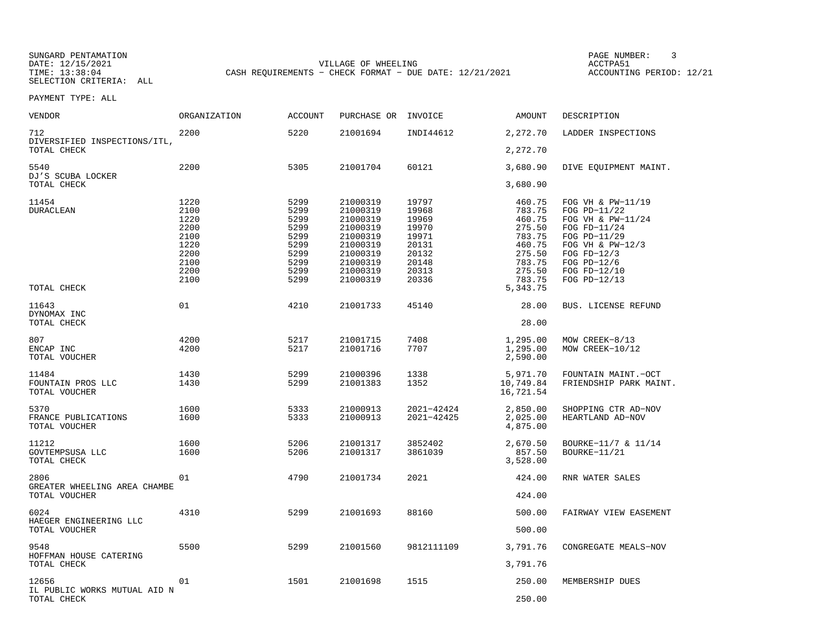SUNGARD PENTAMATION SUNGARD PENTAMATION SUNG PAGE NUMBER: 3<br>
PAGE PENTAMATION SUNG PAGE AND PAGE OF MEELING SUNG PAGE AND PAGE ACCTPA51 DATE: 12/15/2021 VILLAGE OF WHEELING ACCTPA51CASH REQUIREMENTS - CHECK FORMAT - DUE DATE: 12/21/2021

ACCOUNTING PERIOD: 12/21

| <b>VENDOR</b>                                | <b>ORGANIZATION</b>  | <b>ACCOUNT</b>       | PURCHASE OR INVOICE              |                          | AMOUNT                             | DESCRIPTION                                            |
|----------------------------------------------|----------------------|----------------------|----------------------------------|--------------------------|------------------------------------|--------------------------------------------------------|
| 712<br>DIVERSIFIED INSPECTIONS/ITL,          | 2200                 | 5220                 | 21001694                         | INDI44612                | 2,272.70                           | LADDER INSPECTIONS                                     |
| TOTAL CHECK                                  |                      |                      |                                  |                          | 2,272.70                           |                                                        |
| 5540<br>DJ'S SCUBA LOCKER                    | 2200                 | 5305                 | 21001704                         | 60121                    | 3,680.90                           | DIVE EQUIPMENT MAINT.                                  |
| TOTAL CHECK                                  |                      |                      |                                  |                          | 3,680.90                           |                                                        |
| 11454<br><b>DURACLEAN</b>                    | 1220<br>2100<br>1220 | 5299<br>5299<br>5299 | 21000319<br>21000319<br>21000319 | 19797<br>19968<br>19969  | 460.75<br>783.75<br>460.75         | FOG VH & PW-11/19<br>FOG PD-11/22<br>FOG VH & PW-11/24 |
|                                              | 2200<br>2100<br>1220 | 5299<br>5299<br>5299 | 21000319<br>21000319<br>21000319 | 19970<br>19971<br>20131  | 275.50<br>783.75<br>460.75         | FOG FD-11/24<br>FOG PD-11/29<br>FOG VH & PW-12/3       |
|                                              | 2200<br>2100<br>2200 | 5299<br>5299<br>5299 | 21000319<br>21000319<br>21000319 | 20132<br>20148<br>20313  | 275.50<br>783.75<br>275.50         | FOG $FD-12/3$<br>FOG $PD-12/6$<br>FOG FD-12/10         |
| TOTAL CHECK                                  | 2100                 | 5299                 | 21000319                         | 20336                    | 783.75<br>5, 343. 75               | FOG PD-12/13                                           |
| 11643<br>DYNOMAX INC                         | 01                   | 4210                 | 21001733                         | 45140                    | 28.00                              | BUS. LICENSE REFUND                                    |
| TOTAL CHECK                                  |                      |                      |                                  |                          | 28.00                              |                                                        |
| 807<br>ENCAP INC<br>TOTAL VOUCHER            | 4200<br>4200         | 5217<br>5217         | 21001715<br>21001716             | 7408<br>7707             | 1,295.00<br>1,295.00<br>2,590.00   | MOW CREEK-8/13<br>MOW CREEK-10/12                      |
| 11484<br>FOUNTAIN PROS LLC<br>TOTAL VOUCHER  | 1430<br>1430         | 5299<br>5299         | 21000396<br>21001383             | 1338<br>1352             | 5,971.70<br>10,749.84<br>16,721.54 | FOUNTAIN MAINT. - OCT<br>FRIENDSHIP PARK MAINT.        |
| 5370<br>FRANCE PUBLICATIONS<br>TOTAL VOUCHER | 1600<br>1600         | 5333<br>5333         | 21000913<br>21000913             | 2021-42424<br>2021-42425 | 2,850.00<br>2,025.00<br>4,875.00   | SHOPPING CTR AD-NOV<br>HEARTLAND AD-NOV                |
| 11212<br>GOVTEMPSUSA LLC<br>TOTAL CHECK      | 1600<br>1600         | 5206<br>5206         | 21001317<br>21001317             | 3852402<br>3861039       | 2,670.50<br>857.50<br>3,528.00     | BOURKE-11/7 & 11/14<br>BOURKE-11/21                    |
| 2806<br>GREATER WHEELING AREA CHAMBE         | 01                   | 4790                 | 21001734                         | 2021                     | 424.00                             | RNR WATER SALES                                        |
| TOTAL VOUCHER                                |                      |                      |                                  |                          | 424.00                             |                                                        |
| 6024<br>HAEGER ENGINEERING LLC               | 4310                 | 5299                 | 21001693                         | 88160                    | 500.00                             | FAIRWAY VIEW EASEMENT                                  |
| TOTAL VOUCHER                                |                      |                      |                                  |                          | 500.00                             |                                                        |
| 9548<br>HOFFMAN HOUSE CATERING               | 5500                 | 5299                 | 21001560                         | 9812111109               | 3,791.76                           | CONGREGATE MEALS-NOV                                   |
| TOTAL CHECK                                  |                      |                      |                                  |                          | 3,791.76                           |                                                        |
| 12656<br>IL PUBLIC WORKS MUTUAL AID N        | 01                   | 1501                 | 21001698                         | 1515                     | 250.00                             | MEMBERSHIP DUES                                        |
| TOTAL CHECK                                  |                      |                      |                                  |                          | 250.00                             |                                                        |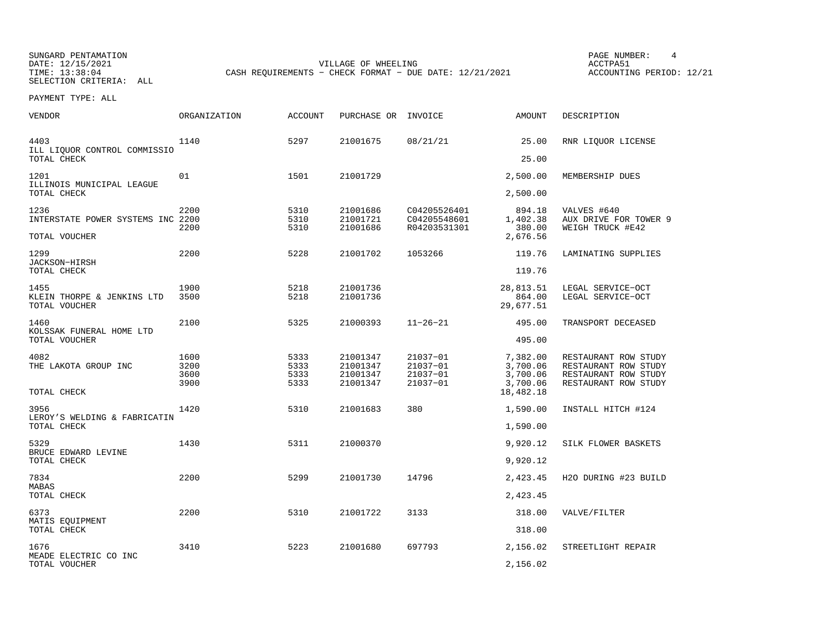SUNGARD PENTAMATION SUNGARD PENTAMATION SUNGARD PAGE NUMBER: 4

SELECTION CRITERIA: ALL

DATE: 12/15/2021 VILLAGE OF WHEELING ACCTPA51

ACCOUNTING PERIOD: 12/21

PAYMENT TYPE: ALL

| <b>VENDOR</b>                               | <b>ORGANIZATION</b> | <b>ACCOUNT</b> | PURCHASE OR          | INVOICE                      | <b>AMOUNT</b>         | DESCRIPTION                               |
|---------------------------------------------|---------------------|----------------|----------------------|------------------------------|-----------------------|-------------------------------------------|
| 4403<br>ILL LIQUOR CONTROL COMMISSIO        | 1140                | 5297           | 21001675             | 08/21/21                     | 25.00                 | RNR LIOUOR LICENSE                        |
| TOTAL CHECK                                 |                     |                |                      |                              | 25.00                 |                                           |
| 1201                                        | 01                  | 1501           | 21001729             |                              | 2,500.00              | MEMBERSHIP DUES                           |
| ILLINOIS MUNICIPAL LEAGUE<br>TOTAL CHECK    |                     |                |                      |                              | 2,500.00              |                                           |
| 1236                                        | 2200                | 5310           | 21001686             | C04205526401                 | 894.18                | VALVES #640                               |
| INTERSTATE POWER SYSTEMS INC 2200           | 2200                | 5310<br>5310   | 21001721<br>21001686 | C04205548601<br>R04203531301 | 1,402.38<br>380.00    | AUX DRIVE FOR TOWER 9<br>WEIGH TRUCK #E42 |
| TOTAL VOUCHER                               |                     |                |                      |                              | 2,676.56              |                                           |
| 1299                                        | 2200                | 5228           | 21001702             | 1053266                      | 119.76                | LAMINATING SUPPLIES                       |
| JACKSON-HIRSH<br>TOTAL CHECK                |                     |                |                      |                              | 119.76                |                                           |
| 1455                                        | 1900                | 5218           | 21001736             |                              | 28,813.51             | LEGAL SERVICE-OCT                         |
| KLEIN THORPE & JENKINS LTD<br>TOTAL VOUCHER | 3500                | 5218           | 21001736             |                              | 864.00<br>29,677.51   | LEGAL SERVICE-OCT                         |
| 1460                                        | 2100                | 5325           | 21000393             | $11 - 26 - 21$               | 495.00                | TRANSPORT DECEASED                        |
| KOLSSAK FUNERAL HOME LTD<br>TOTAL VOUCHER   |                     |                |                      |                              | 495.00                |                                           |
| 4082                                        | 1600                | 5333           | 21001347             | 21037-01                     | 7,382.00              | RESTAURANT ROW STUDY                      |
| THE LAKOTA GROUP INC                        | 3200                | 5333           | 21001347             | 21037-01                     | 3,700.06              | RESTAURANT ROW STUDY                      |
|                                             | 3600                | 5333           | 21001347             | 21037-01                     | 3,700.06              | RESTAURANT ROW STUDY                      |
| TOTAL CHECK                                 | 3900                | 5333           | 21001347             | $21037 - 01$                 | 3,700.06<br>18,482.18 | RESTAURANT ROW STUDY                      |
| 3956                                        | 1420                | 5310           | 21001683             | 380                          | 1,590.00              | INSTALL HITCH #124                        |
| LEROY'S WELDING & FABRICATIN<br>TOTAL CHECK |                     |                |                      |                              | 1,590.00              |                                           |
| 5329                                        | 1430                | 5311           | 21000370             |                              | 9,920.12              | SILK FLOWER BASKETS                       |
| BRUCE EDWARD LEVINE<br>TOTAL CHECK          |                     |                |                      |                              | 9,920.12              |                                           |
| 7834                                        | 2200                | 5299           | 21001730             | 14796                        | 2,423.45              | H2O DURING #23 BUILD                      |
| <b>MABAS</b><br>TOTAL CHECK                 |                     |                |                      |                              | 2,423.45              |                                           |
| 6373                                        | 2200                | 5310           | 21001722             | 3133                         | 318.00                | VALVE/FILTER                              |
| MATIS EQUIPMENT<br>TOTAL CHECK              |                     |                |                      |                              | 318.00                |                                           |
| 1676                                        | 3410                | 5223           | 21001680             | 697793                       | 2,156.02              | STREETLIGHT REPAIR                        |
| MEADE ELECTRIC CO INC<br>TOTAL VOUCHER      |                     |                |                      |                              | 2,156.02              |                                           |

CASH REQUIREMENTS - CHECK FORMAT - DUE DATE: 12/21/2021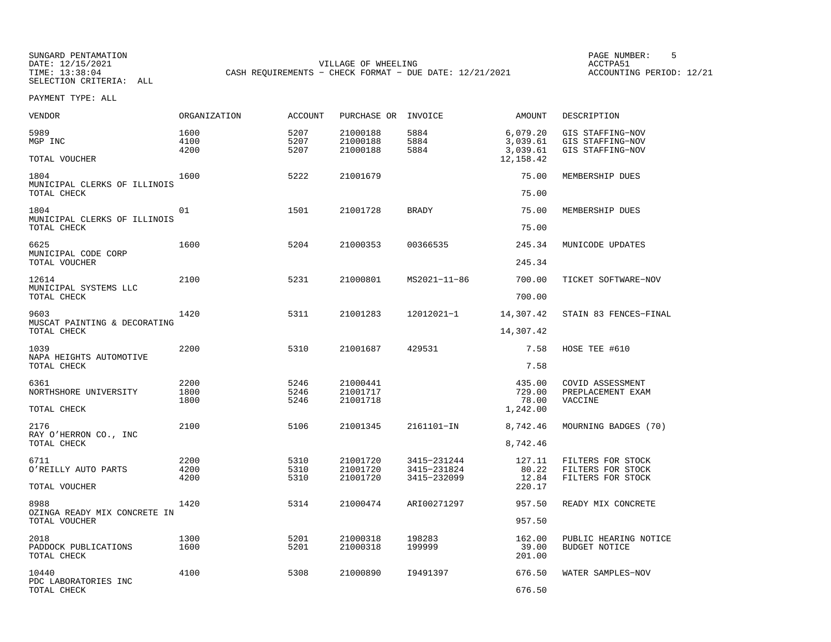SUNGARD PENTAMATION SUNGARD PENTAMATION SUNGARD PAGE NUMBER: 5<br>DATE: 12/15/2021 DATE: 12/15/2021 DATE: 12/15/2021 VILLAGE OF WHEELING ACCTPA51SELECTION CRITERIA: ALL

ACCOUNTING PERIOD: 12/21

PAYMENT TYPE: ALL

| VENDOR                                                | ORGANIZATION         | <b>ACCOUNT</b>       | PURCHASE OR                      | INVOICE                    | AMOUNT                           | DESCRIPTION                                              |
|-------------------------------------------------------|----------------------|----------------------|----------------------------------|----------------------------|----------------------------------|----------------------------------------------------------|
| 5989<br>MGP INC                                       | 1600<br>4100<br>4200 | 5207<br>5207<br>5207 | 21000188<br>21000188<br>21000188 | 5884<br>5884<br>5884       | 6,079.20<br>3,039.61<br>3,039.61 | GIS STAFFING-NOV<br>GIS STAFFING-NOV<br>GIS STAFFING-NOV |
| TOTAL VOUCHER                                         |                      |                      |                                  |                            | 12, 158.42                       |                                                          |
| 1804<br>MUNICIPAL CLERKS OF ILLINOIS<br>TOTAL CHECK   | 1600                 | 5222                 | 21001679                         |                            | 75.00<br>75.00                   | MEMBERSHIP DUES                                          |
| 1804<br>MUNICIPAL CLERKS OF ILLINOIS<br>TOTAL CHECK   | 01                   | 1501                 | 21001728                         | <b>BRADY</b>               | 75.00<br>75.00                   | MEMBERSHIP DUES                                          |
|                                                       |                      |                      |                                  |                            |                                  |                                                          |
| 6625<br>MUNICIPAL CODE CORP<br>TOTAL VOUCHER          | 1600                 | 5204                 | 21000353                         | 00366535                   | 245.34<br>245.34                 | MUNICODE UPDATES                                         |
| 12614                                                 | 2100                 | 5231                 | 21000801                         | MS2021-11-86               | 700.00                           | TICKET SOFTWARE-NOV                                      |
| MUNICIPAL SYSTEMS LLC<br>TOTAL CHECK                  |                      |                      |                                  |                            | 700.00                           |                                                          |
| 9603                                                  | 1420                 | 5311                 | 21001283                         | 12012021-1                 | 14,307.42                        | STAIN 83 FENCES-FINAL                                    |
| MUSCAT PAINTING & DECORATING<br>TOTAL CHECK           |                      |                      |                                  |                            | 14,307.42                        |                                                          |
| 1039                                                  | 2200                 | 5310                 | 21001687                         | 429531                     | 7.58                             | HOSE TEE #610                                            |
| NAPA HEIGHTS AUTOMOTIVE<br>TOTAL CHECK                |                      |                      |                                  |                            | 7.58                             |                                                          |
| 6361<br>NORTHSHORE UNIVERSITY                         | 2200<br>1800<br>1800 | 5246<br>5246<br>5246 | 21000441<br>21001717<br>21001718 |                            | 435.00<br>729.00<br>78.00        | COVID ASSESSMENT<br>PREPLACEMENT EXAM<br>VACCINE         |
| TOTAL CHECK                                           |                      |                      |                                  |                            | 1,242.00                         |                                                          |
| 2176<br>RAY O'HERRON CO., INC                         | 2100                 | 5106                 | 21001345                         | 2161101-IN                 | 8,742.46                         | MOURNING BADGES (70)                                     |
| TOTAL CHECK                                           |                      |                      |                                  |                            | 8,742.46                         |                                                          |
| 6711<br>O'REILLY AUTO PARTS                           | 2200<br>4200         | 5310<br>5310         | 21001720<br>21001720             | 3415-231244<br>3415-231824 | 127.11<br>80.22                  | FILTERS FOR STOCK<br>FILTERS FOR STOCK                   |
| TOTAL VOUCHER                                         | 4200                 | 5310                 | 21001720                         | 3415-232099                | 12.84<br>220.17                  | FILTERS FOR STOCK                                        |
|                                                       |                      |                      |                                  |                            |                                  |                                                          |
| 8988<br>OZINGA READY MIX CONCRETE IN<br>TOTAL VOUCHER | 1420                 | 5314                 | 21000474                         | ARI00271297                | 957.50<br>957.50                 | READY MIX CONCRETE                                       |
|                                                       |                      |                      |                                  |                            |                                  |                                                          |
| 2018<br>PADDOCK PUBLICATIONS<br>TOTAL CHECK           | 1300<br>1600         | 5201<br>5201         | 21000318<br>21000318             | 198283<br>199999           | 162.00<br>39.00<br>201.00        | PUBLIC HEARING NOTICE<br><b>BUDGET NOTICE</b>            |
| 10440                                                 | 4100                 | 5308                 | 21000890                         | I9491397                   | 676.50                           | WATER SAMPLES-NOV                                        |
| PDC LABORATORIES INC<br>TOTAL CHECK                   |                      |                      |                                  |                            | 676.50                           |                                                          |

CASH REQUIREMENTS - CHECK FORMAT - DUE DATE: 12/21/2021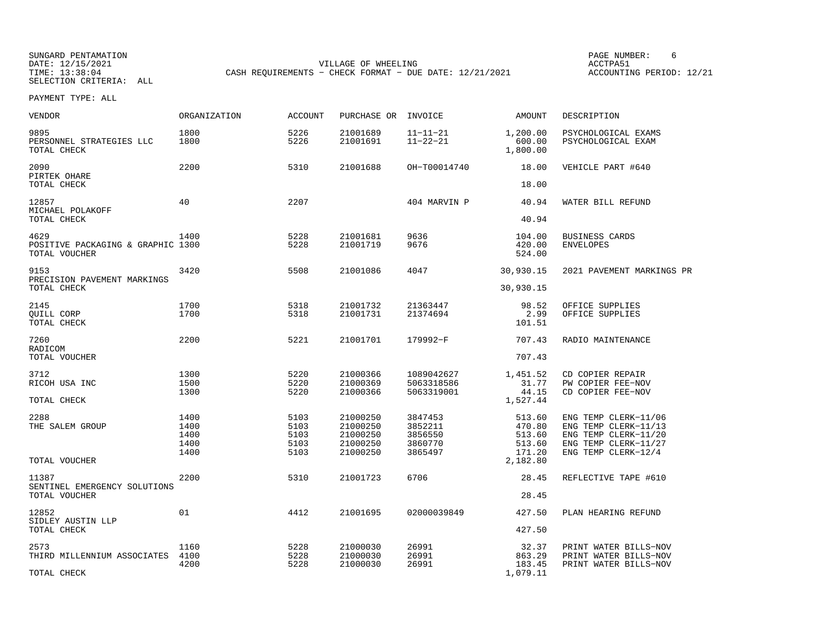SUNGARD PENTAMATION SUNGARD PENTAMATION SUNGARD PAGE NUMBER: 6<br>
PAGE PENTAMATION SUNGARD PAGE ACCTPA51 DATE: 12/15/2021 VILLAGE OF WHEELING ACCTPA51CASH REQUIREMENTS - CHECK FORMAT - DUE DATE: 12/21/2021

ACCOUNTING PERIOD: 12/21

| VENDOR                                                     | ORGANIZATION                         | ACCOUNT                              | PURCHASE OR                                              | INVOICE                                             | AMOUNT                                                     | DESCRIPTION                                                                                                         |
|------------------------------------------------------------|--------------------------------------|--------------------------------------|----------------------------------------------------------|-----------------------------------------------------|------------------------------------------------------------|---------------------------------------------------------------------------------------------------------------------|
| 9895<br>PERSONNEL STRATEGIES LLC<br>TOTAL CHECK            | 1800<br>1800                         | 5226<br>5226                         | 21001689<br>21001691                                     | $11 - 11 - 21$<br>$11 - 22 - 21$                    | 1,200.00<br>600.00<br>1,800.00                             | PSYCHOLOGICAL EXAMS<br>PSYCHOLOGICAL EXAM                                                                           |
| 2090<br>PIRTEK OHARE<br>TOTAL CHECK                        | 2200                                 | 5310                                 | 21001688                                                 | OH-T00014740                                        | 18.00<br>18.00                                             | VEHICLE PART #640                                                                                                   |
| 12857<br>MICHAEL POLAKOFF<br>TOTAL CHECK                   | 40                                   | 2207                                 |                                                          | 404 MARVIN P                                        | 40.94<br>40.94                                             | WATER BILL REFUND                                                                                                   |
| 4629<br>POSITIVE PACKAGING & GRAPHIC 1300<br>TOTAL VOUCHER | 1400                                 | 5228<br>5228                         | 21001681<br>21001719                                     | 9636<br>9676                                        | 104.00<br>420.00<br>524.00                                 | BUSINESS CARDS<br><b>ENVELOPES</b>                                                                                  |
| 9153<br>PRECISION PAVEMENT MARKINGS<br>TOTAL CHECK         | 3420                                 | 5508                                 | 21001086                                                 | 4047                                                | 30,930.15<br>30,930.15                                     | 2021 PAVEMENT MARKINGS PR                                                                                           |
| 2145<br>QUILL CORP<br>TOTAL CHECK                          | 1700<br>1700                         | 5318<br>5318                         | 21001732<br>21001731                                     | 21363447<br>21374694                                | 98.52<br>2.99<br>101.51                                    | OFFICE SUPPLIES<br>OFFICE SUPPLIES                                                                                  |
| 7260<br>RADICOM<br>TOTAL VOUCHER                           | 2200                                 | 5221                                 | 21001701                                                 | 179992-F                                            | 707.43<br>707.43                                           | RADIO MAINTENANCE                                                                                                   |
| 3712<br>RICOH USA INC<br>TOTAL CHECK                       | 1300<br>1500<br>1300                 | 5220<br>5220<br>5220                 | 21000366<br>21000369<br>21000366                         | 1089042627<br>5063318586<br>5063319001              | 1,451.52<br>31.77<br>44.15<br>1,527.44                     | CD COPIER REPAIR<br>PW COPIER FEE-NOV<br>CD COPIER FEE-NOV                                                          |
| 2288<br>THE SALEM GROUP<br>TOTAL VOUCHER                   | 1400<br>1400<br>1400<br>1400<br>1400 | 5103<br>5103<br>5103<br>5103<br>5103 | 21000250<br>21000250<br>21000250<br>21000250<br>21000250 | 3847453<br>3852211<br>3856550<br>3860770<br>3865497 | 513.60<br>470.80<br>513.60<br>513.60<br>171.20<br>2,182.80 | ENG TEMP CLERK-11/06<br>ENG TEMP CLERK-11/13<br>ENG TEMP CLERK-11/20<br>ENG TEMP CLERK-11/27<br>ENG TEMP CLERK-12/4 |
| 11387<br>SENTINEL EMERGENCY SOLUTIONS<br>TOTAL VOUCHER     | 2200                                 | 5310                                 | 21001723                                                 | 6706                                                | 28.45<br>28.45                                             | REFLECTIVE TAPE #610                                                                                                |
| 12852<br>SIDLEY AUSTIN LLP<br>TOTAL CHECK                  | 01                                   | 4412                                 | 21001695                                                 | 02000039849                                         | 427.50<br>427.50                                           | PLAN HEARING REFUND                                                                                                 |
| 2573<br>THIRD MILLENNIUM ASSOCIATES<br>TOTAL CHECK         | 1160<br>4100<br>4200                 | 5228<br>5228<br>5228                 | 21000030<br>21000030<br>21000030                         | 26991<br>26991<br>26991                             | 32.37<br>863.29<br>183.45<br>1,079.11                      | PRINT WATER BILLS-NOV<br>PRINT WATER BILLS-NOV<br>PRINT WATER BILLS-NOV                                             |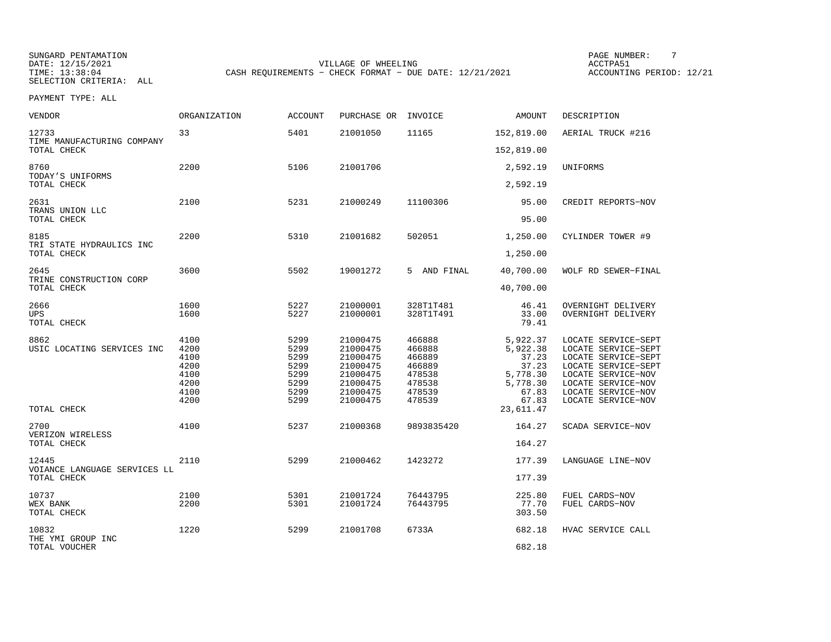SUNGARD PENTAMATION SUNGARD PENTAMATION SUNGARD PAGE NUMBER: THE SUNGARD PAGE NUMBER: THE SUNGARD PAGE NUMBER: T<br>PATE: 12/15/2021 DATE: 12/15/2021 SELECTION CRITERIA: ALL

DATE: 12/15/2021 VILLAGE OF WHEELING ACCTPA51CASH REQUIREMENTS - CHECK FORMAT - DUE DATE: 12/21/2021

ACCOUNTING PERIOD: 12/21

| <b>VENDOR</b>                                        | ORGANIZATION                                                 | <b>ACCOUNT</b>                                               | PURCHASE OR                                                                                  | INVOICE                                                                      | AMOUNT                                                                           | DESCRIPTION                                                                                                                                                                      |
|------------------------------------------------------|--------------------------------------------------------------|--------------------------------------------------------------|----------------------------------------------------------------------------------------------|------------------------------------------------------------------------------|----------------------------------------------------------------------------------|----------------------------------------------------------------------------------------------------------------------------------------------------------------------------------|
| 12733<br>TIME MANUFACTURING COMPANY                  | 33                                                           | 5401                                                         | 21001050                                                                                     | 11165                                                                        | 152,819.00                                                                       | AERIAL TRUCK #216                                                                                                                                                                |
| TOTAL CHECK                                          |                                                              |                                                              |                                                                                              |                                                                              | 152,819.00                                                                       |                                                                                                                                                                                  |
| 8760<br>TODAY'S UNIFORMS<br>TOTAL CHECK              | 2200                                                         | 5106                                                         | 21001706                                                                                     |                                                                              | 2,592.19<br>2,592.19                                                             | UNIFORMS                                                                                                                                                                         |
|                                                      |                                                              |                                                              |                                                                                              |                                                                              |                                                                                  |                                                                                                                                                                                  |
| 2631<br>TRANS UNION LLC<br>TOTAL CHECK               | 2100                                                         | 5231                                                         | 21000249                                                                                     | 11100306                                                                     | 95.00<br>95.00                                                                   | CREDIT REPORTS-NOV                                                                                                                                                               |
|                                                      |                                                              |                                                              |                                                                                              |                                                                              |                                                                                  |                                                                                                                                                                                  |
| 8185<br>TRI STATE HYDRAULICS INC<br>TOTAL CHECK      | 2200                                                         | 5310                                                         | 21001682                                                                                     | 502051                                                                       | 1,250.00<br>1,250.00                                                             | CYLINDER TOWER #9                                                                                                                                                                |
|                                                      |                                                              |                                                              |                                                                                              |                                                                              |                                                                                  |                                                                                                                                                                                  |
| 2645<br>TRINE CONSTRUCTION CORP<br>TOTAL CHECK       | 3600                                                         | 5502                                                         | 19001272                                                                                     | 5 AND FINAL                                                                  | 40,700.00<br>40,700.00                                                           | WOLF RD SEWER-FINAL                                                                                                                                                              |
|                                                      |                                                              |                                                              |                                                                                              |                                                                              |                                                                                  |                                                                                                                                                                                  |
| 2666<br><b>UPS</b><br>TOTAL CHECK                    | 1600<br>1600                                                 | 5227<br>5227                                                 | 21000001<br>21000001                                                                         | 328T1T481<br>328T1T491                                                       | 46.41<br>33.00<br>79.41                                                          | OVERNIGHT DELIVERY<br>OVERNIGHT DELIVERY                                                                                                                                         |
| 8862<br>USIC LOCATING SERVICES INC                   | 4100<br>4200<br>4100<br>4200<br>4100<br>4200<br>4100<br>4200 | 5299<br>5299<br>5299<br>5299<br>5299<br>5299<br>5299<br>5299 | 21000475<br>21000475<br>21000475<br>21000475<br>21000475<br>21000475<br>21000475<br>21000475 | 466888<br>466888<br>466889<br>466889<br>478538<br>478538<br>478539<br>478539 | 5,922.37<br>5,922.38<br>37.23<br>37.23<br>5,778.30<br>5,778.30<br>67.83<br>67.83 | LOCATE SERVICE-SEPT<br>LOCATE SERVICE-SEPT<br>LOCATE SERVICE-SEPT<br>LOCATE SERVICE-SEPT<br>LOCATE SERVICE-NOV<br>LOCATE SERVICE-NOV<br>LOCATE SERVICE-NOV<br>LOCATE SERVICE-NOV |
| TOTAL CHECK                                          |                                                              |                                                              |                                                                                              |                                                                              | 23,611.47                                                                        |                                                                                                                                                                                  |
| 2700<br>VERIZON WIRELESS<br>TOTAL CHECK              | 4100                                                         | 5237                                                         | 21000368                                                                                     | 9893835420                                                                   | 164.27<br>164.27                                                                 | SCADA SERVICE-NOV                                                                                                                                                                |
|                                                      |                                                              |                                                              |                                                                                              |                                                                              |                                                                                  |                                                                                                                                                                                  |
| 12445<br>VOIANCE LANGUAGE SERVICES LL<br>TOTAL CHECK | 2110                                                         | 5299                                                         | 21000462                                                                                     | 1423272                                                                      | 177.39<br>177.39                                                                 | LANGUAGE LINE-NOV                                                                                                                                                                |
|                                                      |                                                              |                                                              |                                                                                              |                                                                              |                                                                                  |                                                                                                                                                                                  |
| 10737<br>WEX BANK<br>TOTAL CHECK                     | 2100<br>2200                                                 | 5301<br>5301                                                 | 21001724<br>21001724                                                                         | 76443795<br>76443795                                                         | 225.80<br>77.70<br>303.50                                                        | FUEL CARDS-NOV<br>FUEL CARDS-NOV                                                                                                                                                 |
| 10832<br>THE YMI GROUP INC                           | 1220                                                         | 5299                                                         | 21001708                                                                                     | 6733A                                                                        | 682.18                                                                           | HVAC SERVICE CALL                                                                                                                                                                |
| TOTAL VOUCHER                                        |                                                              |                                                              |                                                                                              |                                                                              | 682.18                                                                           |                                                                                                                                                                                  |